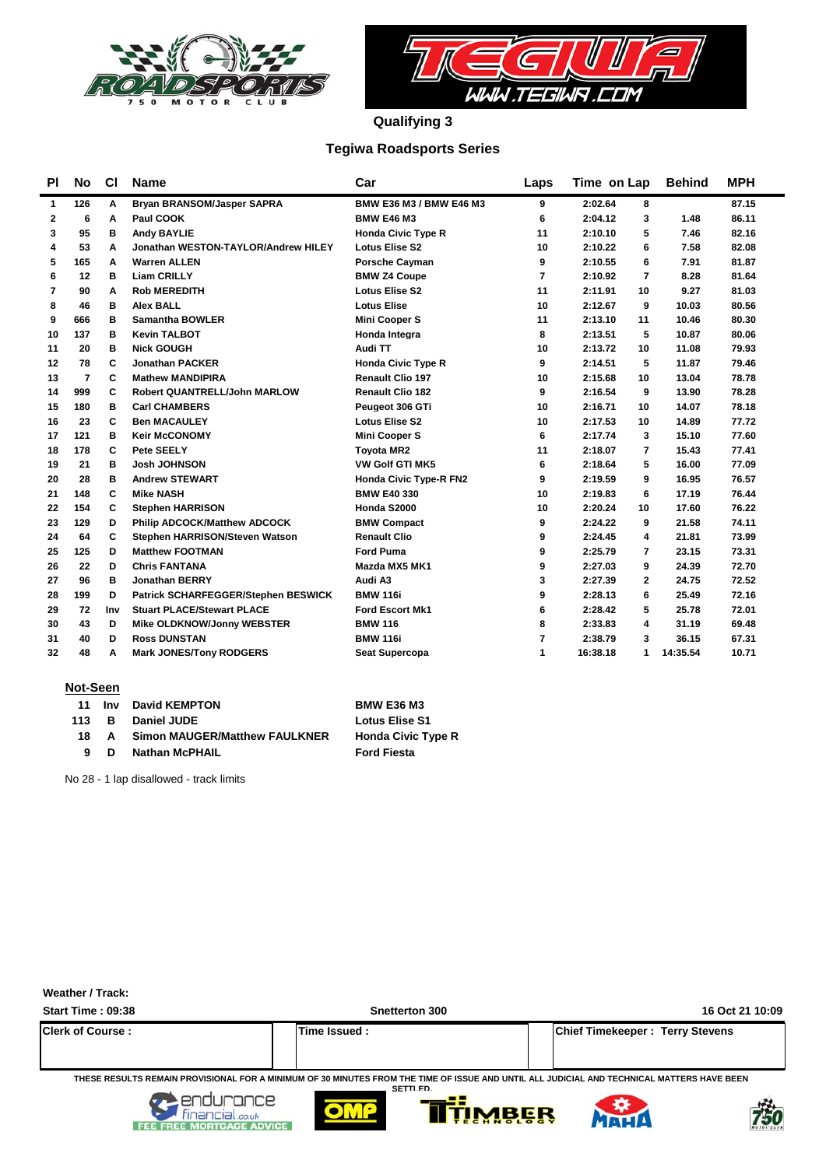



**Qualifying 3**

### **Tegiwa Roadsports Series**

| <b>PI</b>    | No  | <b>CI</b> | <b>Name</b>                         | Car                           | Laps           | Time on Lap               | <b>Behind</b> | <b>MPH</b> |
|--------------|-----|-----------|-------------------------------------|-------------------------------|----------------|---------------------------|---------------|------------|
| $\mathbf{1}$ | 126 | Α         | Bryan BRANSOM/Jasper SAPRA          | BMW E36 M3 / BMW E46 M3       | 9              | 2:02.64<br>8              |               | 87.15      |
| $\mathbf{2}$ | 6   | A         | Paul COOK                           | <b>BMW E46 M3</b>             | 6              | 2:04.12<br>3              | 1.48          | 86.11      |
| 3            | 95  | в         | <b>Andy BAYLIE</b>                  | <b>Honda Civic Type R</b>     | 11             | 2:10.10<br>5              | 7.46          | 82.16      |
| 4            | 53  | A         | Jonathan WESTON-TAYLOR/Andrew HILEY | <b>Lotus Elise S2</b>         | 10             | 2:10.22<br>6              | 7.58          | 82.08      |
| 5            | 165 | А         | <b>Warren ALLEN</b>                 | <b>Porsche Cayman</b>         | 9              | 2:10.55<br>6              | 7.91          | 81.87      |
| 6            | 12  | в         | <b>Liam CRILLY</b>                  | <b>BMW Z4 Coupe</b>           | $\overline{7}$ | $\overline{7}$<br>2:10.92 | 8.28          | 81.64      |
| 7            | 90  | A         | <b>Rob MEREDITH</b>                 | <b>Lotus Elise S2</b>         | 11             | 2:11.91<br>10             | 9.27          | 81.03      |
| 8            | 46  | в         | <b>Alex BALL</b>                    | <b>Lotus Elise</b>            | 10             | 2:12.67<br>9              | 10.03         | 80.56      |
| 9            | 666 | в         | <b>Samantha BOWLER</b>              | <b>Mini Cooper S</b>          | 11             | 2:13.10<br>11             | 10.46         | 80.30      |
| 10           | 137 | в         | <b>Kevin TALBOT</b>                 | Honda Integra                 | 8              | 2:13.51<br>5              | 10.87         | 80.06      |
| 11           | 20  | в         | <b>Nick GOUGH</b>                   | Audi TT                       | 10             | 2:13.72<br>10             | 11.08         | 79.93      |
| 12           | 78  | C         | <b>Jonathan PACKER</b>              | <b>Honda Civic Type R</b>     | 9              | 2:14.51<br>5              | 11.87         | 79.46      |
| 13           | 7   | C         | <b>Mathew MANDIPIRA</b>             | <b>Renault Clio 197</b>       | 10             | 2:15.68<br>10             | 13.04         | 78.78      |
| 14           | 999 | C         | <b>Robert QUANTRELL/John MARLOW</b> | <b>Renault Clio 182</b>       | 9              | 2:16.54<br>9              | 13.90         | 78.28      |
| 15           | 180 | в         | <b>Carl CHAMBERS</b>                | Peugeot 306 GTi               | 10             | 2:16.71<br>10             | 14.07         | 78.18      |
| 16           | 23  | C         | <b>Ben MACAULEY</b>                 | <b>Lotus Elise S2</b>         | 10             | 2:17.53<br>10             | 14.89         | 77.72      |
| 17           | 121 | в         | <b>Keir McCONOMY</b>                | <b>Mini Cooper S</b>          | 6              | 2:17.74<br>3              | 15.10         | 77.60      |
| 18           | 178 | C         | Pete SEELY                          | <b>Tovota MR2</b>             | 11             | 2:18.07<br>7              | 15.43         | 77.41      |
| 19           | 21  | в         | <b>Josh JOHNSON</b>                 | <b>VW Golf GTI MK5</b>        | 6              | 2:18.64<br>5              | 16.00         | 77.09      |
| 20           | 28  | в         | <b>Andrew STEWART</b>               | <b>Honda Civic Type-R FN2</b> | 9              | 2:19.59<br>9              | 16.95         | 76.57      |
| 21           | 148 | C         | <b>Mike NASH</b>                    | <b>BMW E40 330</b>            | 10             | 2:19.83<br>6              | 17.19         | 76.44      |
| 22           | 154 | C         | <b>Stephen HARRISON</b>             | Honda S2000                   | 10             | 2:20.24<br>10             | 17.60         | 76.22      |
| 23           | 129 | D         | <b>Philip ADCOCK/Matthew ADCOCK</b> | <b>BMW Compact</b>            | 9              | 2:24.22<br>9              | 21.58         | 74.11      |
| 24           | 64  | C         | Stephen HARRISON/Steven Watson      | <b>Renault Clio</b>           | 9              | 2:24.45<br>4              | 21.81         | 73.99      |
| 25           | 125 | D         | <b>Matthew FOOTMAN</b>              | <b>Ford Puma</b>              | 9              | 2:25.79<br>7              | 23.15         | 73.31      |
| 26           | 22  | D         | <b>Chris FANTANA</b>                | Mazda MX5 MK1                 | 9              | 2:27.03<br>9              | 24.39         | 72.70      |
| 27           | 96  | в         | <b>Jonathan BERRY</b>               | Audi A3                       | 3              | 2:27.39<br>$\mathbf{2}$   | 24.75         | 72.52      |
| 28           | 199 | D         | Patrick SCHARFEGGER/Stephen BESWICK | <b>BMW 116i</b>               | 9              | 2:28.13<br>6              | 25.49         | 72.16      |
| 29           | 72  | Inv       | <b>Stuart PLACE/Stewart PLACE</b>   | <b>Ford Escort Mk1</b>        | 6              | 2:28.42<br>5              | 25.78         | 72.01      |
| 30           | 43  | D         | Mike OLDKNOW/Jonny WEBSTER          | <b>BMW 116</b>                | 8              | 2:33.83<br>4              | 31.19         | 69.48      |
| 31           | 40  | D         | <b>Ross DUNSTAN</b>                 | <b>BMW 116i</b>               | 7              | 2:38.79<br>3              | 36.15         | 67.31      |
| 32           | 48  | А         | <b>Mark JONES/Tony RODGERS</b>      | <b>Seat Supercopa</b>         | 1              | 16:38.18<br>1             | 14:35.54      | 10.71      |

#### **Not-Seen**

| -11 | lnv.  | <b>David KEMPTON</b>                 | <b>BMW E36 M3</b>         |
|-----|-------|--------------------------------------|---------------------------|
|     | 113 B | Daniel JUDE                          | <b>Lotus Elise S1</b>     |
| 18. | A     | <b>Simon MAUGER/Matthew FAULKNER</b> | <b>Honda Civic Type R</b> |
|     | D.    | <b>Nathan McPHAIL</b>                | <b>Ford Fiesta</b>        |

No 28 - 1 lap disallowed - track limits

| Weather / Track:               |                                                                                                                                                                          |                                        |
|--------------------------------|--------------------------------------------------------------------------------------------------------------------------------------------------------------------------|----------------------------------------|
| <b>Start Time: 09:38</b>       | <b>Snetterton 300</b>                                                                                                                                                    | 16 Oct 21 10:09                        |
| <b>Clerk of Course:</b>        | Time Issued:                                                                                                                                                             | <b>Chief Timekeeper: Terry Stevens</b> |
| ance<br><b>MORTGAGE ADVICE</b> | THESE RESULTS REMAIN PROVISIONAL FOR A MINIMUM OF 30 MINUTES FROM THE TIME OF ISSUE AND UNTIL ALL JUDICIAL AND TECHNICAL MATTERS HAVE BEEN<br>SETTI FD.<br><b>TIMBER</b> |                                        |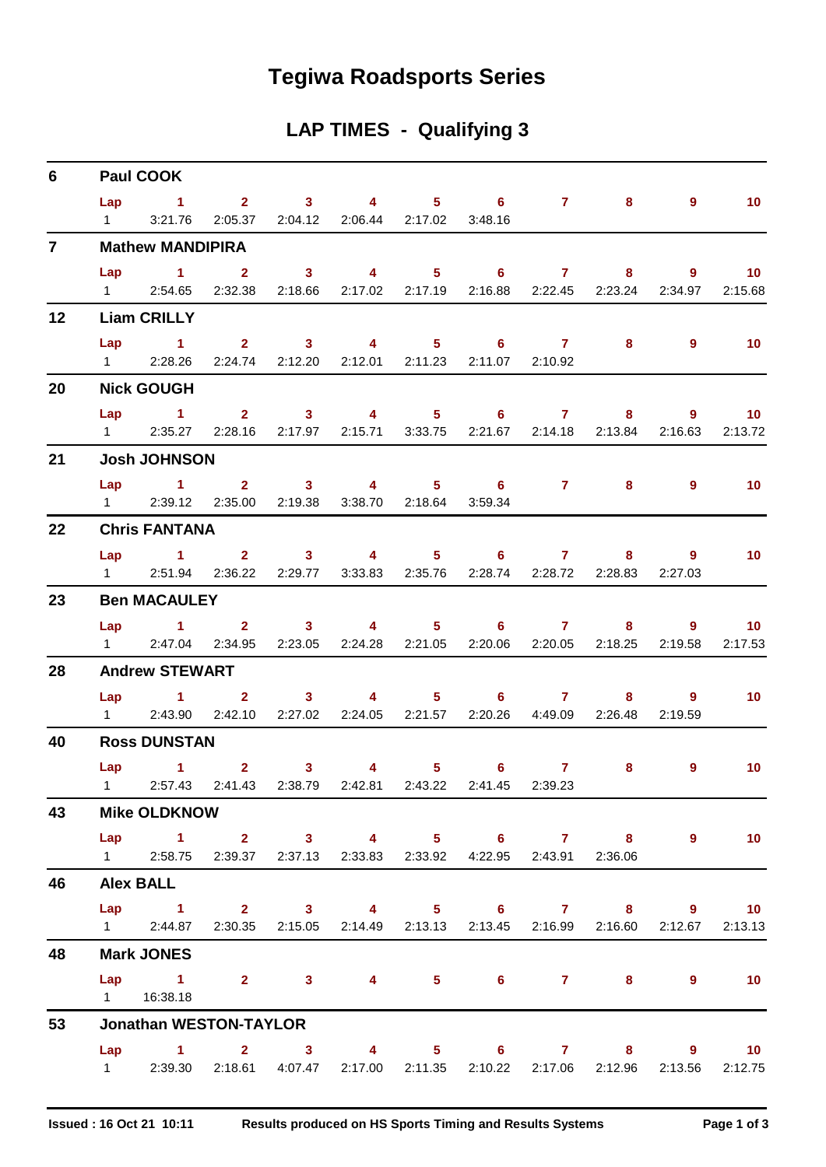## **Tegiwa Roadsports Series**

## **LAP TIMES - Qualifying 3**

| 6              | <b>Paul COOK</b>    |                                                                                   |  |  |  |  |  |  |  |         |                          |  |  |  |
|----------------|---------------------|-----------------------------------------------------------------------------------|--|--|--|--|--|--|--|---------|--------------------------|--|--|--|
|                |                     | Lap 1 2 3 4 5 6 7 8 9 10                                                          |  |  |  |  |  |  |  |         |                          |  |  |  |
|                |                     | 1 3:21.76 2:05.37 2:04.12 2:06.44 2:17.02 3:48.16                                 |  |  |  |  |  |  |  |         |                          |  |  |  |
| $\overline{7}$ |                     | <b>Mathew MANDIPIRA</b>                                                           |  |  |  |  |  |  |  |         |                          |  |  |  |
|                |                     | Lap 1 2 3 4 5 6 7 8 9 10                                                          |  |  |  |  |  |  |  |         |                          |  |  |  |
|                |                     | 1 2:54.65 2:32.38 2:18.66 2:17.02 2:17.19 2:16.88 2:22.45 2:23.24 2:34.97 2:15.68 |  |  |  |  |  |  |  |         |                          |  |  |  |
| 12             |                     | <b>Liam CRILLY</b>                                                                |  |  |  |  |  |  |  |         |                          |  |  |  |
|                |                     | Lap 1 2 3 4 5 6 7 8                                                               |  |  |  |  |  |  |  | 9       | $\blacksquare$ 10        |  |  |  |
|                |                     | 1 2:28.26 2:24.74 2:12.20 2:12.01 2:11.23 2:11.07 2:10.92                         |  |  |  |  |  |  |  |         |                          |  |  |  |
| 20             |                     | <b>Nick GOUGH</b>                                                                 |  |  |  |  |  |  |  |         |                          |  |  |  |
|                |                     | Lap 1 2 3 4 5 6 7 8 9 10                                                          |  |  |  |  |  |  |  |         |                          |  |  |  |
|                |                     | 1 2:35.27 2:28.16 2:17.97 2:15.71 3:33.75 2:21.67 2:14.18 2:13.84 2:16.63         |  |  |  |  |  |  |  |         | 2:13.72                  |  |  |  |
| 21             |                     | <b>Josh JOHNSON</b>                                                               |  |  |  |  |  |  |  |         |                          |  |  |  |
|                |                     | Lap 1 2 3 4 5 6 7 8 9                                                             |  |  |  |  |  |  |  |         | $\sim$ 10                |  |  |  |
|                |                     | 1 2:39.12 2:35.00 2:19.38 3:38.70 2:18.64 3:59.34                                 |  |  |  |  |  |  |  |         |                          |  |  |  |
| 22             |                     | <b>Chris FANTANA</b>                                                              |  |  |  |  |  |  |  |         |                          |  |  |  |
|                |                     | Lap 1 2 3 4 5 6 7 8 9                                                             |  |  |  |  |  |  |  |         | $\overline{10}$          |  |  |  |
|                |                     | 1 2:51.94 2:36.22 2:29.77 3:33.83 2:35.76 2:28.74 2:28.72 2:28.83 2:27.03         |  |  |  |  |  |  |  |         |                          |  |  |  |
| 23             |                     | <b>Ben MACAULEY</b>                                                               |  |  |  |  |  |  |  |         |                          |  |  |  |
|                |                     | Lap 1 2 3 4 5 6 7 8 9 10                                                          |  |  |  |  |  |  |  |         |                          |  |  |  |
|                |                     | 1 2:47.04 2:34.95 2:23.05 2:24.28 2:21.05 2:20.06 2:20.05 2:18.25                 |  |  |  |  |  |  |  | 2:19.58 | 2:17.53                  |  |  |  |
| 28             |                     | <b>Andrew STEWART</b>                                                             |  |  |  |  |  |  |  |         |                          |  |  |  |
|                |                     | Lap 1 2 3 4 5 6 7 8 9                                                             |  |  |  |  |  |  |  |         | $\blacksquare$ 10        |  |  |  |
|                |                     | 1 2:43.90 2:42.10 2:27.02 2:24.05 2:21.57 2:20.26 4:49.09 2:26.48                 |  |  |  |  |  |  |  | 2:19.59 |                          |  |  |  |
| 40             | <b>Ross DUNSTAN</b> |                                                                                   |  |  |  |  |  |  |  |         |                          |  |  |  |
|                |                     | Lap 1 2 3 4 5 6 7 8 9                                                             |  |  |  |  |  |  |  |         | $\sim$ 10                |  |  |  |
|                |                     | 1 2:57.43 2:41.43 2:38.79 2:42.81 2:43.22 2:41.45 2:39.23                         |  |  |  |  |  |  |  |         |                          |  |  |  |
| 43             |                     | <b>Mike OLDKNOW</b>                                                               |  |  |  |  |  |  |  |         |                          |  |  |  |
|                |                     | Lap 1 2 3 4 5 6 7 8 9                                                             |  |  |  |  |  |  |  |         | $\sim$ 10                |  |  |  |
|                |                     | 1 2:58.75 2:39.37 2:37.13 2:33.83 2:33.92 4:22.95 2:43.91 2:36.06                 |  |  |  |  |  |  |  |         |                          |  |  |  |
| 46             |                     | <b>Alex BALL</b>                                                                  |  |  |  |  |  |  |  |         |                          |  |  |  |
|                |                     | Lap 1 2 3 4 5 6 7 8 9 10                                                          |  |  |  |  |  |  |  |         |                          |  |  |  |
|                |                     | 1 2:44.87 2:30.35 2:15.05 2:14.49 2:13.13 2:13.45 2:16.99 2:16.60 2:12.67 2:13.13 |  |  |  |  |  |  |  |         |                          |  |  |  |
| 48             |                     | <b>Mark JONES</b>                                                                 |  |  |  |  |  |  |  |         |                          |  |  |  |
|                |                     | Lap 1 2 3 4 5 6 7 8 9<br>1  16:38.18                                              |  |  |  |  |  |  |  |         | $\overline{\mathbf{10}}$ |  |  |  |
| 53             |                     | <b>Jonathan WESTON-TAYLOR</b>                                                     |  |  |  |  |  |  |  |         |                          |  |  |  |
|                |                     | Lap 1 2 3 4 5 6 7 8 9 10                                                          |  |  |  |  |  |  |  |         |                          |  |  |  |
|                |                     | 1 2:39.30 2:18.61 4:07.47 2:17.00 2:11.35 2:10.22 2:17.06 2:12.96                 |  |  |  |  |  |  |  | 2:13.56 | 2:12.75                  |  |  |  |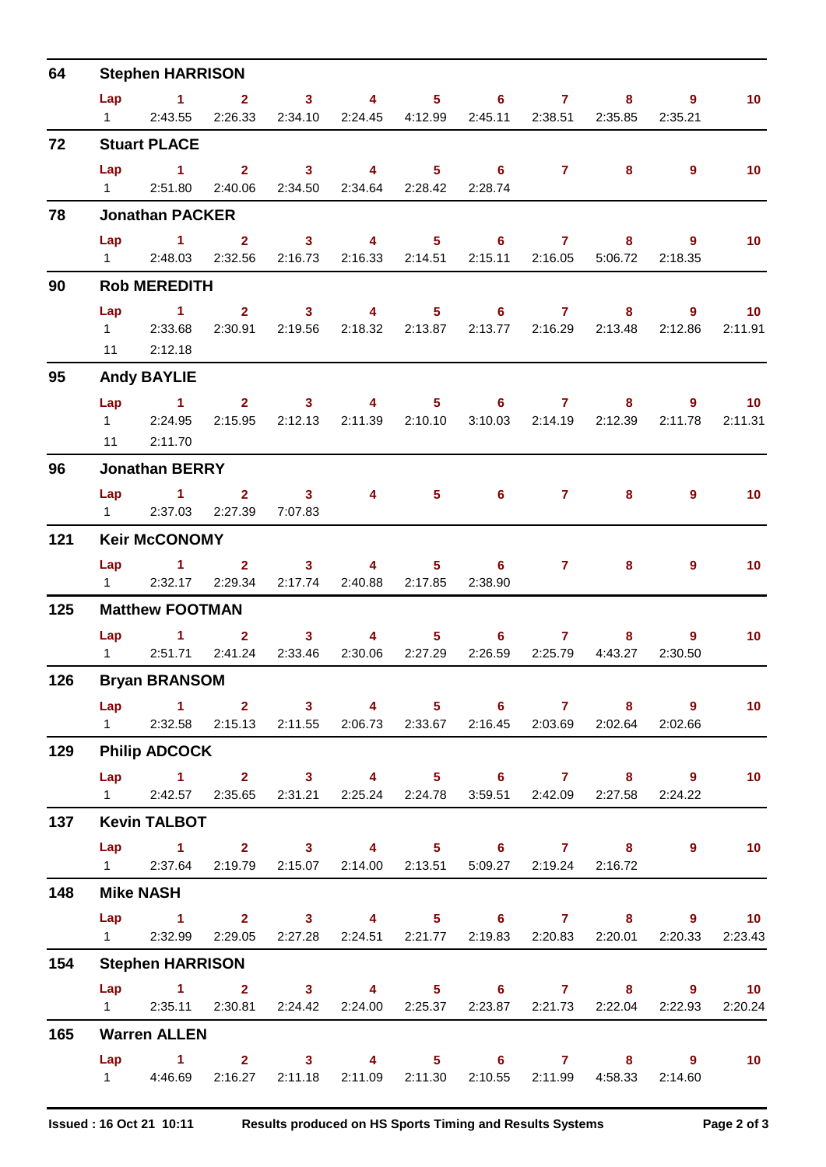| 64  |                   | <b>Stephen HARRISON</b>                                                                                       |                 |                                                  |                                 |         |                 |                                                                         |                |                 |
|-----|-------------------|---------------------------------------------------------------------------------------------------------------|-----------------|--------------------------------------------------|---------------------------------|---------|-----------------|-------------------------------------------------------------------------|----------------|-----------------|
|     |                   | Lap 1 2 3 4 5 6 7 8 9                                                                                         |                 |                                                  |                                 |         |                 |                                                                         |                | 10 <sub>1</sub> |
|     | $1 \quad \Box$    |                                                                                                               |                 |                                                  |                                 |         |                 | 2:43.55 2:26.33 2:34.10 2:24.45 4:12.99 2:45.11 2:38.51 2:35.85 2:35.21 |                |                 |
| 72  |                   | <b>Stuart PLACE</b>                                                                                           |                 |                                                  |                                 |         |                 |                                                                         |                |                 |
|     |                   | Lap 1 2 3 4 5 6 7 8                                                                                           |                 |                                                  |                                 |         |                 |                                                                         | $9^{\circ}$    | 10 <sub>1</sub> |
|     |                   | 1 2:51.80 2:40.06 2:34.50 2:34.64 2:28.42 2:28.74                                                             |                 |                                                  |                                 |         |                 |                                                                         |                |                 |
| 78  |                   | <b>Jonathan PACKER</b>                                                                                        |                 |                                                  |                                 |         |                 |                                                                         |                |                 |
|     |                   | Lap 1 2 3 4 5 6 7 8                                                                                           |                 |                                                  |                                 |         |                 |                                                                         | $9^{\circ}$    | 10 <sub>1</sub> |
|     |                   | 1 2:48.03 2:32.56 2:16.73 2:16.33 2:14.51 2:15.11 2:16.05 5:06.72 2:18.35                                     |                 |                                                  |                                 |         |                 |                                                                         |                |                 |
| 90  |                   | <b>Rob MEREDITH</b>                                                                                           |                 |                                                  |                                 |         |                 |                                                                         |                |                 |
|     | Lap               | 1 2 3 4 5 6 7 8 9                                                                                             |                 |                                                  |                                 |         |                 |                                                                         |                | 10              |
|     |                   | 1 2:33.68<br>11 2:12.18                                                                                       |                 |                                                  |                                 |         |                 | 2:30.91  2:19.56  2:18.32  2:13.87  2:13.77  2:16.29  2:13.48  2:12.86  |                | 2:11.91         |
|     |                   |                                                                                                               |                 |                                                  |                                 |         |                 |                                                                         |                |                 |
| 95  |                   | <b>Andy BAYLIE</b>                                                                                            |                 |                                                  |                                 |         |                 |                                                                         |                |                 |
|     |                   | Lap 1 2 3 4 5 6 7 8 9 10<br>1 2:24.95                                                                         |                 |                                                  |                                 |         |                 | 2:15.95  2:12.13  2:11.39  2:10.10  3:10.03  2:14.19  2:12.39  2:11.78  |                | 2:11.31         |
|     |                   | 11 2:11.70                                                                                                    |                 |                                                  |                                 |         |                 |                                                                         |                |                 |
| 96  |                   | <b>Jonathan BERRY</b>                                                                                         |                 |                                                  |                                 |         |                 |                                                                         |                |                 |
|     |                   | Lap 1 2 3                                                                                                     |                 |                                                  |                                 | 4 5 6 7 |                 | 8                                                                       | $\overline{9}$ | 10              |
|     |                   | 1 2:37.03 2:27.39 7:07.83                                                                                     |                 |                                                  |                                 |         |                 |                                                                         |                |                 |
| 121 |                   | <b>Keir McCONOMY</b>                                                                                          |                 |                                                  |                                 |         |                 |                                                                         |                |                 |
|     |                   | Lap 1 2 3 4 5 6 7                                                                                             |                 |                                                  |                                 |         |                 | 8                                                                       | $\overline{9}$ | 10 <sup>°</sup> |
|     | $1 \quad \Box$    |                                                                                                               | 2:32.17 2:29.34 |                                                  | 2:17.74 2:40.88 2:17.85 2:38.90 |         |                 |                                                                         |                |                 |
| 125 |                   | <b>Matthew FOOTMAN</b>                                                                                        |                 |                                                  |                                 |         |                 |                                                                         |                |                 |
|     |                   | Lap 1                                                                                                         |                 | $2 \qquad 3 \qquad 4 \qquad 5 \qquad 6 \qquad 7$ |                                 |         |                 | 8                                                                       | $\overline{9}$ | 10 <sub>1</sub> |
|     |                   | 1 2:51.71 2:41.24 2:33.46 2:30.06 2:27.29                                                                     |                 |                                                  |                                 |         | 2:26.59 2:25.79 | 4:43.27                                                                 | 2:30.50        |                 |
| 126 |                   | <b>Bryan BRANSOM</b>                                                                                          |                 |                                                  |                                 |         |                 |                                                                         |                |                 |
|     |                   | Lap 1 2 3 4 5 6 7 8 9                                                                                         |                 |                                                  |                                 |         |                 |                                                                         |                | 10 <sub>1</sub> |
|     | $1 \qquad \qquad$ |                                                                                                               |                 |                                                  |                                 |         |                 | 2:32.58 2:15.13 2:11.55 2:06.73 2:33.67 2:16.45 2:03.69 2:02.64 2:02.66 |                |                 |
| 129 |                   | <b>Philip ADCOCK</b>                                                                                          |                 |                                                  |                                 |         |                 |                                                                         |                |                 |
|     |                   | Lap 1 2 3 4 5 6 7 8 9                                                                                         |                 |                                                  |                                 |         |                 |                                                                         |                | 10              |
|     |                   | 1 2:42.57 2:35.65 2:31.21 2:25.24 2:24.78 3:59.51 2:42.09 2:27.58 2:24.22                                     |                 |                                                  |                                 |         |                 |                                                                         |                |                 |
| 137 |                   | <b>Kevin TALBOT</b>                                                                                           |                 |                                                  |                                 |         |                 |                                                                         |                |                 |
|     |                   | Lap 1 2 3 4 5 6 7 8 9 10                                                                                      |                 |                                                  |                                 |         |                 |                                                                         |                |                 |
|     |                   | 1 2:37.64 2:19.79 2:15.07 2:14.00 2:13.51 5:09.27 2:19.24 2:16.72                                             |                 |                                                  |                                 |         |                 |                                                                         |                |                 |
| 148 |                   | <b>Mike NASH</b>                                                                                              |                 |                                                  |                                 |         |                 |                                                                         |                |                 |
|     |                   | Lap 1 2 3 4 5 6 7 8 9 10<br>1 2:32.99 2:29.05 2:27.28 2:24.51 2:21.77 2:19.83 2:20.83 2:20.01 2:20.33         |                 |                                                  |                                 |         |                 |                                                                         |                | 2:23.43         |
|     |                   |                                                                                                               |                 |                                                  |                                 |         |                 |                                                                         |                |                 |
| 154 |                   | <b>Stephen HARRISON</b>                                                                                       |                 |                                                  |                                 |         |                 |                                                                         |                |                 |
|     |                   | Lap 1 2 3 4 5 6 7 8 9 10<br>1 2:35.11 2:30.81 2:24.42 2:24.00 2:25.37 2:23.87 2:21.73 2:22.04 2:22.93 2:20.24 |                 |                                                  |                                 |         |                 |                                                                         |                |                 |
| 165 |                   | <b>Warren ALLEN</b>                                                                                           |                 |                                                  |                                 |         |                 |                                                                         |                |                 |
|     |                   | Lap 1 2 3 4 5 6 7 8 9 10                                                                                      |                 |                                                  |                                 |         |                 |                                                                         |                |                 |
|     |                   | 4:46.69  2:16.27  2:11.18  2:11.09  2:11.30  2:10.55  2:11.99  4:58.33  2:14.60                               |                 |                                                  |                                 |         |                 |                                                                         |                |                 |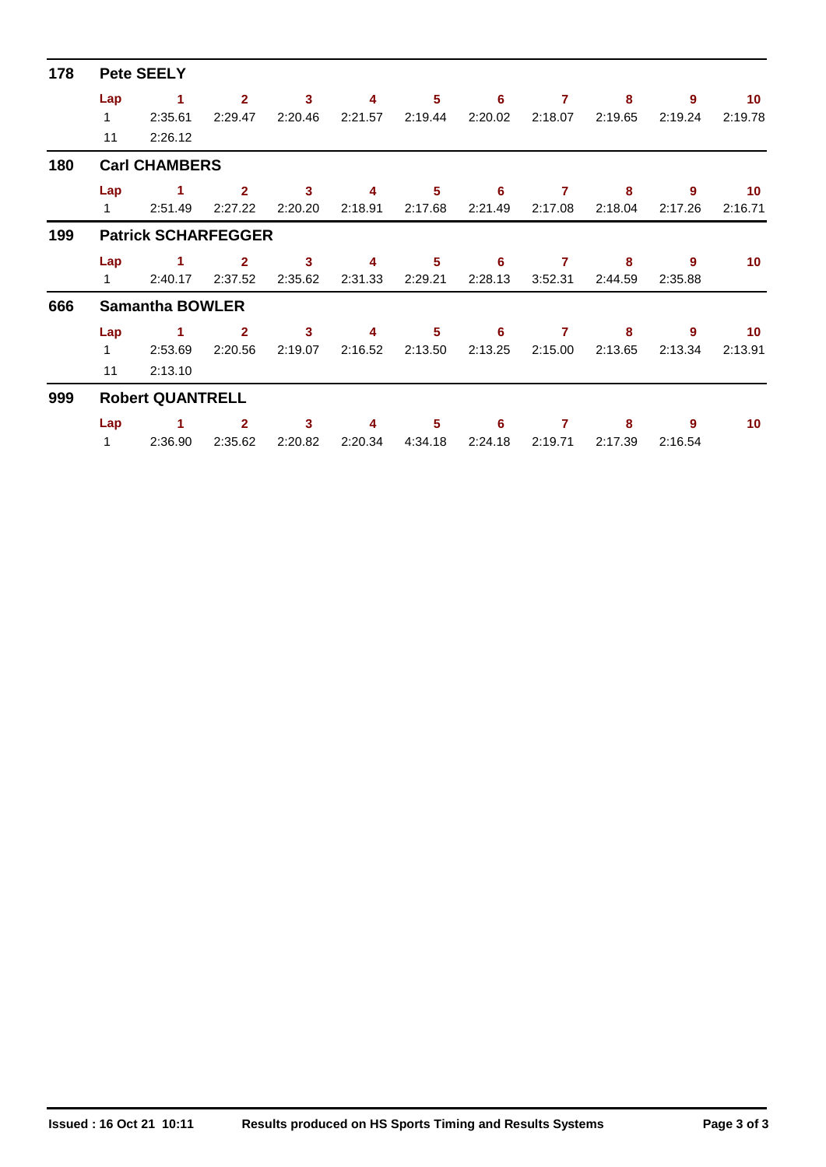| 178 | <b>Pete SEELY</b>       |                            |                |              |         |                 |         |         |         |         |                 |  |  |
|-----|-------------------------|----------------------------|----------------|--------------|---------|-----------------|---------|---------|---------|---------|-----------------|--|--|
|     | Lap                     | 1                          | $\overline{2}$ | $\mathbf{3}$ | 4       | 5               | 6       | 7       | 8       | 9       | 10 <sup>°</sup> |  |  |
|     | $\mathbf{1}$            | 2:35.61                    | 2:29.47        | 2:20.46      | 2:21.57 | 2:19.44         | 2:20.02 | 2:18.07 | 2:19.65 | 2:19.24 | 2:19.78         |  |  |
|     | 11                      | 2:26.12                    |                |              |         |                 |         |         |         |         |                 |  |  |
| 180 |                         | <b>Carl CHAMBERS</b>       |                |              |         |                 |         |         |         |         |                 |  |  |
|     | Lap                     | 1                          | $\overline{2}$ | 3            | 4       | 5               | 6       | 7       | 8       | 9       | 10              |  |  |
|     | $\mathbf{1}$            | 2:51.49                    | 2:27.22        | 2:20.20      | 2:18.91 | 2:17.68         | 2:21.49 | 2:17.08 | 2:18.04 | 2:17.26 | 2:16.71         |  |  |
| 199 |                         | <b>Patrick SCHARFEGGER</b> |                |              |         |                 |         |         |         |         |                 |  |  |
|     | Lap                     | 1                          | $\mathbf{2}$   | 3            | 4       | 5               | 6       | 7       | 8       | 9       | 10              |  |  |
|     | $\mathbf{1}$            | 2:40.17                    | 2:37.52        | 2:35.62      | 2:31.33 | 2:29.21         | 2:28.13 | 3:52.31 | 2:44.59 | 2:35.88 |                 |  |  |
| 666 | <b>Samantha BOWLER</b>  |                            |                |              |         |                 |         |         |         |         |                 |  |  |
|     | Lap                     | 1                          | $\overline{2}$ | 3            | 4       | $5\phantom{.0}$ | 6       | 7       | 8       | 9       | 10              |  |  |
|     | $\mathbf{1}$            | 2:53.69                    | 2:20.56        | 2:19.07      | 2:16.52 | 2:13.50         | 2:13.25 | 2:15.00 | 2:13.65 | 2:13.34 | 2:13.91         |  |  |
|     | 11                      | 2:13.10                    |                |              |         |                 |         |         |         |         |                 |  |  |
| 999 | <b>Robert QUANTRELL</b> |                            |                |              |         |                 |         |         |         |         |                 |  |  |
|     | Lap                     | 1.                         | $\mathbf{2}$   | 3            | 4       | 5               | 6       | 7       | 8       | 9       | 10              |  |  |
|     | $\mathbf{1}$            | 2:36.90                    | 2:35.62        | 2:20.82      | 2:20.34 | 4:34.18         | 2:24.18 | 2:19.71 | 2:17.39 | 2:16.54 |                 |  |  |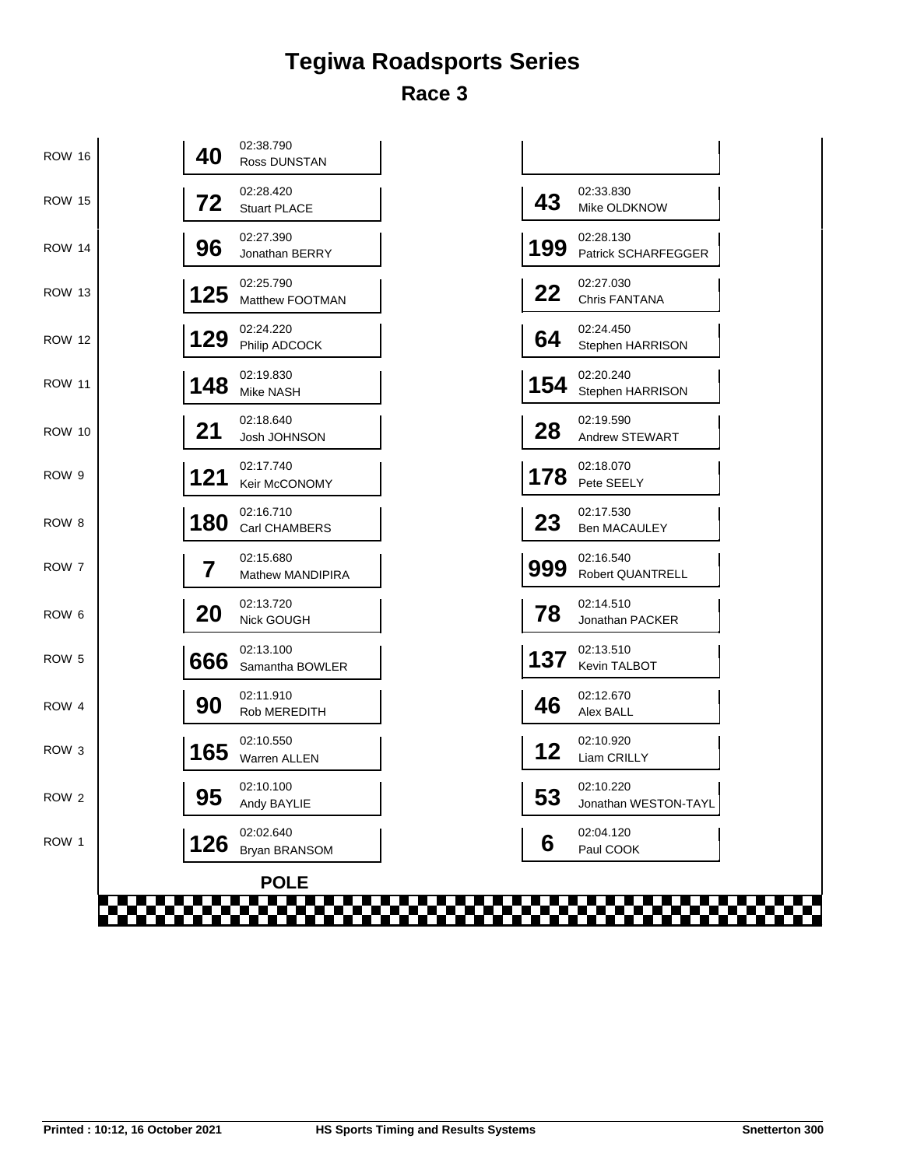## **Tegiwa Roadsports Series Race 3**

| 02:28.420<br>02:33.830<br>43<br>72<br><b>ROW 15</b><br>Mike OLDKNOW<br><b>Stuart PLACE</b><br>02:27.390<br>02:28.130<br>96<br>199<br><b>ROW 14</b><br>Jonathan BERRY<br>02:27.030<br>02:25.790<br>22<br>125<br><b>ROW 13</b><br>Chris FANTANA<br>Matthew FOOTMAN<br>02:24.220<br>02:24.450<br>129<br>64<br><b>ROW 12</b><br>Philip ADCOCK<br>Stephen HARRISON<br>02:19.830<br>02:20.240<br>154<br>148<br><b>ROW 11</b><br>Stephen HARRISON<br>Mike NASH<br>02:18.640<br>02:19.590<br>28<br>21<br><b>ROW 10</b><br>Josh JOHNSON<br>Andrew STEWART<br>02:17.740<br>02:18.070<br>121<br>178<br>ROW 9<br>Pete SEELY<br>Keir McCONOMY<br>02:16.710<br>02:17.530<br>180<br>23<br>ROW <sub>8</sub><br>Carl CHAMBERS<br><b>Ben MACAULEY</b><br>02:15.680<br>02:16.540<br>7<br>999<br>ROW 7<br>Robert QUANTRELL<br>Mathew MANDIPIRA<br>02:13.720<br>02:14.510<br>78<br>20<br>ROW <sub>6</sub><br>Nick GOUGH<br>Jonathan PACKER<br>02:13.100<br>02:13.510<br>137<br>666<br>ROW 5<br>Kevin TALBOT<br>Samantha BOWLER<br>02:11.910<br>02:12.670<br>46<br>90<br>ROW 4<br>Rob MEREDITH<br>Alex BALL<br>02:10.550<br>02:10.920<br>12<br>165<br>ROW <sub>3</sub><br>Liam CRILLY<br>Warren ALLEN<br>02:10.100<br>02:10.220 | <b>ROW 16</b> | 40 | 02:38.790<br>Ross DUNSTAN |    |                      |
|-----------------------------------------------------------------------------------------------------------------------------------------------------------------------------------------------------------------------------------------------------------------------------------------------------------------------------------------------------------------------------------------------------------------------------------------------------------------------------------------------------------------------------------------------------------------------------------------------------------------------------------------------------------------------------------------------------------------------------------------------------------------------------------------------------------------------------------------------------------------------------------------------------------------------------------------------------------------------------------------------------------------------------------------------------------------------------------------------------------------------------------------------------------------------------------------------------------|---------------|----|---------------------------|----|----------------------|
|                                                                                                                                                                                                                                                                                                                                                                                                                                                                                                                                                                                                                                                                                                                                                                                                                                                                                                                                                                                                                                                                                                                                                                                                           |               |    |                           |    |                      |
|                                                                                                                                                                                                                                                                                                                                                                                                                                                                                                                                                                                                                                                                                                                                                                                                                                                                                                                                                                                                                                                                                                                                                                                                           |               |    |                           |    | Patrick SCHARFEGGER  |
|                                                                                                                                                                                                                                                                                                                                                                                                                                                                                                                                                                                                                                                                                                                                                                                                                                                                                                                                                                                                                                                                                                                                                                                                           |               |    |                           |    |                      |
|                                                                                                                                                                                                                                                                                                                                                                                                                                                                                                                                                                                                                                                                                                                                                                                                                                                                                                                                                                                                                                                                                                                                                                                                           |               |    |                           |    |                      |
|                                                                                                                                                                                                                                                                                                                                                                                                                                                                                                                                                                                                                                                                                                                                                                                                                                                                                                                                                                                                                                                                                                                                                                                                           |               |    |                           |    |                      |
|                                                                                                                                                                                                                                                                                                                                                                                                                                                                                                                                                                                                                                                                                                                                                                                                                                                                                                                                                                                                                                                                                                                                                                                                           |               |    |                           |    |                      |
|                                                                                                                                                                                                                                                                                                                                                                                                                                                                                                                                                                                                                                                                                                                                                                                                                                                                                                                                                                                                                                                                                                                                                                                                           |               |    |                           |    |                      |
|                                                                                                                                                                                                                                                                                                                                                                                                                                                                                                                                                                                                                                                                                                                                                                                                                                                                                                                                                                                                                                                                                                                                                                                                           |               |    |                           |    |                      |
|                                                                                                                                                                                                                                                                                                                                                                                                                                                                                                                                                                                                                                                                                                                                                                                                                                                                                                                                                                                                                                                                                                                                                                                                           |               |    |                           |    |                      |
|                                                                                                                                                                                                                                                                                                                                                                                                                                                                                                                                                                                                                                                                                                                                                                                                                                                                                                                                                                                                                                                                                                                                                                                                           |               |    |                           |    |                      |
|                                                                                                                                                                                                                                                                                                                                                                                                                                                                                                                                                                                                                                                                                                                                                                                                                                                                                                                                                                                                                                                                                                                                                                                                           |               |    |                           |    |                      |
|                                                                                                                                                                                                                                                                                                                                                                                                                                                                                                                                                                                                                                                                                                                                                                                                                                                                                                                                                                                                                                                                                                                                                                                                           |               |    |                           |    |                      |
|                                                                                                                                                                                                                                                                                                                                                                                                                                                                                                                                                                                                                                                                                                                                                                                                                                                                                                                                                                                                                                                                                                                                                                                                           |               |    |                           |    |                      |
|                                                                                                                                                                                                                                                                                                                                                                                                                                                                                                                                                                                                                                                                                                                                                                                                                                                                                                                                                                                                                                                                                                                                                                                                           | ROW 2         | 95 | Andy BAYLIE               | 53 | Jonathan WESTON-TAYL |
| 02:02.640<br>02:04.120<br>126<br>ROW 1<br>6<br>Bryan BRANSOM<br>Paul COOK                                                                                                                                                                                                                                                                                                                                                                                                                                                                                                                                                                                                                                                                                                                                                                                                                                                                                                                                                                                                                                                                                                                                 |               |    |                           |    |                      |
| <b>POLE</b><br>man mana                                                                                                                                                                                                                                                                                                                                                                                                                                                                                                                                                                                                                                                                                                                                                                                                                                                                                                                                                                                                                                                                                                                                                                                   |               |    |                           |    |                      |

| 43  | 02:33.830                               |
|-----|-----------------------------------------|
|     | Mike OLDKNOW                            |
| 199 | 02:28.130<br><b>Patrick SCHARFEGGER</b> |
| 22  | 02:27.030<br>Chris FANTANA              |
| 64  | 02:24.450<br>Stephen HARRISON           |
| 154 | 02:20.240<br>Stephen HARRISON           |
| 28  | 02:19.590<br><b>Andrew STEWART</b>      |
| 178 | 02:18.070<br>Pete SEELY                 |
| 23  | 02:17.530<br><b>Ben MACAULEY</b>        |
| 999 | 02:16.540<br>Robert QUANTRELL           |
| 78  | 02:14.510<br>Jonathan PACKER            |
| 137 | 02:13.510<br>Kevin TALBOT               |
| 46  | 02:12.670<br>Alex BALL                  |
| 12  | 02:10.920<br>Liam CRILLY                |
| 53  | 02:10.220<br>Jonathan WESTON-TAYL       |
| 6   | 02:04.120<br>Paul COOK                  |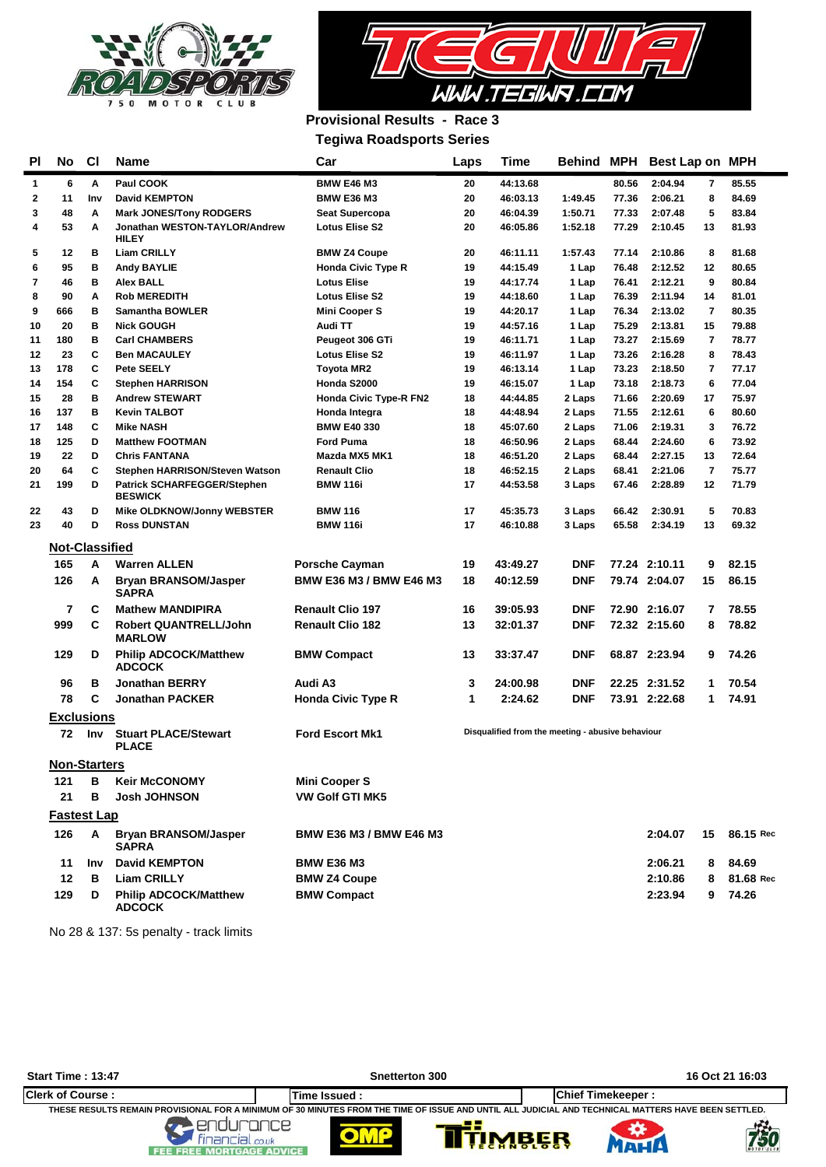



## **Provisional Results - Race 3**

**Tegiwa Roadsports Series**

| <b>PI</b> | No Cl                   |            | Name                                                 | Car                            | Laps | Time                                              |            |       | Behind MPH Best Lap on MPH |                |           |
|-----------|-------------------------|------------|------------------------------------------------------|--------------------------------|------|---------------------------------------------------|------------|-------|----------------------------|----------------|-----------|
| 1         | 6                       | Α          | Paul COOK                                            | <b>BMW E46 M3</b>              | 20   | 44:13.68                                          |            | 80.56 | 2:04.94                    | 7              | 85.55     |
| 2         | 11                      | Inv        | <b>David KEMPTON</b>                                 | <b>BMW E36 M3</b>              | 20   | 46:03.13                                          | 1:49.45    | 77.36 | 2:06.21                    | 8              | 84.69     |
| 3         | 48                      | A          | <b>Mark JONES/Tony RODGERS</b>                       | Seat Supercopa                 | 20   | 46:04.39                                          | 1:50.71    | 77.33 | 2:07.48                    | 5              | 83.84     |
| 4         | 53                      | Α          | Jonathan WESTON-TAYLOR/Andrew<br><b>HILEY</b>        | <b>Lotus Elise S2</b>          | 20   | 46:05.86                                          | 1:52.18    | 77.29 | 2:10.45                    | 13             | 81.93     |
| 5         | 12                      | в          | <b>Liam CRILLY</b>                                   | <b>BMW Z4 Coupe</b>            | 20   | 46:11.11                                          | 1:57.43    | 77.14 | 2:10.86                    | 8              | 81.68     |
| 6         | 95                      | в          | <b>Andy BAYLIE</b>                                   | <b>Honda Civic Type R</b>      | 19   | 44:15.49                                          | 1 Lap      | 76.48 | 2:12.52                    | 12             | 80.65     |
| 7         | 46                      | в          | Alex BALL                                            | <b>Lotus Elise</b>             | 19   | 44:17.74                                          | 1 Lap      | 76.41 | 2:12.21                    | 9              | 80.84     |
| 8         | 90                      | A          | <b>Rob MEREDITH</b>                                  | <b>Lotus Elise S2</b>          | 19   | 44:18.60                                          | 1 Lap      | 76.39 | 2:11.94                    | 14             | 81.01     |
| 9         | 666                     | в          | Samantha BOWLER                                      | <b>Mini Cooper S</b>           | 19   | 44:20.17                                          | 1 Lap      | 76.34 | 2:13.02                    | $\overline{7}$ | 80.35     |
| 10        | 20                      | в          | <b>Nick GOUGH</b>                                    | Audi TT                        | 19   | 44:57.16                                          | 1 Lap      | 75.29 | 2:13.81                    | 15             | 79.88     |
| 11        | 180                     | в          | <b>Carl CHAMBERS</b>                                 | Peugeot 306 GTi                | 19   | 46:11.71                                          | 1 Lap      | 73.27 | 2:15.69                    | 7              | 78.77     |
| 12        | 23                      | C          | <b>Ben MACAULEY</b>                                  | <b>Lotus Elise S2</b>          | 19   | 46:11.97                                          | 1 Lap      | 73.26 | 2:16.28                    | 8              | 78.43     |
| 13        | 178                     | C          | <b>Pete SEELY</b>                                    | <b>Toyota MR2</b>              | 19   | 46:13.14                                          | 1 Lap      | 73.23 | 2:18.50                    | $\overline{7}$ | 77.17     |
| 14        | 154                     | c          | Stephen HARRISON                                     | Honda S2000                    | 19   | 46:15.07                                          | 1 Lap      | 73.18 | 2:18.73                    | 6              | 77.04     |
| 15        | 28                      | в          | <b>Andrew STEWART</b>                                | Honda Civic Type-R FN2         | 18   | 44:44.85                                          | 2 Laps     | 71.66 | 2:20.69                    | 17             | 75.97     |
| 16        | 137                     | в          | <b>Kevin TALBOT</b>                                  | Honda Integra                  | 18   | 44:48.94                                          | 2 Laps     | 71.55 | 2:12.61                    | 6              | 80.60     |
| 17        | 148                     | C          | <b>Mike NASH</b>                                     | <b>BMW E40 330</b>             | 18   | 45:07.60                                          | 2 Laps     | 71.06 | 2:19.31                    | 3              | 76.72     |
| 18        | 125                     | D          | <b>Matthew FOOTMAN</b>                               | <b>Ford Puma</b>               | 18   | 46:50.96                                          | 2 Laps     | 68.44 | 2:24.60                    | 6              | 73.92     |
| 19        | 22                      | D          | <b>Chris FANTANA</b>                                 | Mazda MX5 MK1                  | 18   | 46:51.20                                          | 2 Laps     | 68.44 | 2:27.15                    | 13             | 72.64     |
| 20        | 64                      | C          | Stephen HARRISON/Steven Watson                       | <b>Renault Clio</b>            | 18   | 46:52.15                                          | 2 Laps     | 68.41 | 2:21.06                    | $\overline{7}$ | 75.77     |
| 21        | 199                     | D          | <b>Patrick SCHARFEGGER/Stephen</b><br><b>BESWICK</b> | <b>BMW 116i</b>                | 17   | 44:53.58                                          | 3 Laps     | 67.46 | 2:28.89                    | 12             | 71.79     |
| 22        | 43                      | D          | Mike OLDKNOW/Jonny WEBSTER                           | <b>BMW 116</b>                 | 17   | 45:35.73                                          | 3 Laps     | 66.42 | 2:30.91                    | 5              | 70.83     |
| 23        | 40                      | D          | <b>Ross DUNSTAN</b>                                  | <b>BMW 116i</b>                | 17   | 46:10.88                                          | 3 Laps     | 65.58 | 2:34.19                    | 13             | 69.32     |
|           | Not-Classified          |            |                                                      |                                |      |                                                   |            |       |                            |                |           |
|           | 165                     |            | <b>Warren ALLEN</b>                                  |                                |      |                                                   |            |       |                            |                |           |
|           |                         | A          |                                                      | <b>Porsche Cayman</b>          | 19   | 43:49.27                                          | <b>DNF</b> |       | 77.24 2:10.11              | 9              | 82.15     |
|           | 126                     | A          | <b>Bryan BRANSOM/Jasper</b><br>SAPRA                 | <b>BMW E36 M3 / BMW E46 M3</b> | 18   | 40:12.59                                          | <b>DNF</b> |       | 79.74 2:04.07              | 15             | 86.15     |
|           | 7                       | С          | <b>Mathew MANDIPIRA</b>                              | <b>Renault Clio 197</b>        | 16   | 39:05.93                                          | <b>DNF</b> |       | 72.90 2:16.07              | 7              | 78.55     |
|           | 999                     | С          | <b>Robert QUANTRELL/John</b><br><b>MARLOW</b>        | <b>Renault Clio 182</b>        | 13   | 32:01.37                                          | <b>DNF</b> |       | 72.32 2:15.60              | 8              | 78.82     |
|           | 129                     | D          | <b>Philip ADCOCK/Matthew</b><br><b>ADCOCK</b>        | <b>BMW Compact</b>             | 13   | 33:37.47                                          | <b>DNF</b> |       | 68.87 2:23.94              | 9              | 74.26     |
|           | 96                      | в          | <b>Jonathan BERRY</b>                                | Audi A3                        | 3    | 24:00.98                                          | <b>DNF</b> |       | 22.25 2:31.52              | 1              | 70.54     |
|           | 78                      | C          | <b>Jonathan PACKER</b>                               | <b>Honda Civic Type R</b>      | 1    | 2:24.62                                           | <b>DNF</b> |       | 73.91 2:22.68              | 1              | 74.91     |
|           |                         |            |                                                      |                                |      |                                                   |            |       |                            |                |           |
|           | <b>Exclusions</b><br>72 | <b>Inv</b> | <b>Stuart PLACE/Stewart</b>                          | <b>Ford Escort Mk1</b>         |      | Disqualified from the meeting - abusive behaviour |            |       |                            |                |           |
|           |                         |            | <b>PLACE</b>                                         |                                |      |                                                   |            |       |                            |                |           |
|           | <b>Non-Starters</b>     |            |                                                      |                                |      |                                                   |            |       |                            |                |           |
|           | 121                     | В          | <b>Keir McCONOMY</b>                                 | <b>Mini Cooper S</b>           |      |                                                   |            |       |                            |                |           |
|           | 21                      | в          | <b>Josh JOHNSON</b>                                  | <b>VW Golf GTI MK5</b>         |      |                                                   |            |       |                            |                |           |
|           | <b>Fastest Lap</b>      |            |                                                      |                                |      |                                                   |            |       |                            |                |           |
|           | 126                     | Α          | <b>Bryan BRANSOM/Jasper</b><br>SAPRA                 | <b>BMW E36 M3 / BMW E46 M3</b> |      |                                                   |            |       | 2:04.07                    | 15             | 86.15 Red |
|           |                         |            |                                                      |                                |      |                                                   |            |       |                            |                |           |
|           | 11                      | Inv        | <b>David KEMPTON</b>                                 | <b>BMW E36 M3</b>              |      |                                                   |            |       | 2:06.21                    | 8              | 84.69     |
|           | 12                      | в          | <b>Liam CRILLY</b>                                   | <b>BMW Z4 Coupe</b>            |      |                                                   |            |       | 2:10.86                    | 8              | 81.68 Red |
|           | 129                     | D          | <b>Philip ADCOCK/Matthew</b><br><b>ADCOCK</b>        | <b>BMW Compact</b>             |      |                                                   |            |       | 2:23.94                    | 9              | 74.26     |

No 28 & 137: 5s penalty - track limits

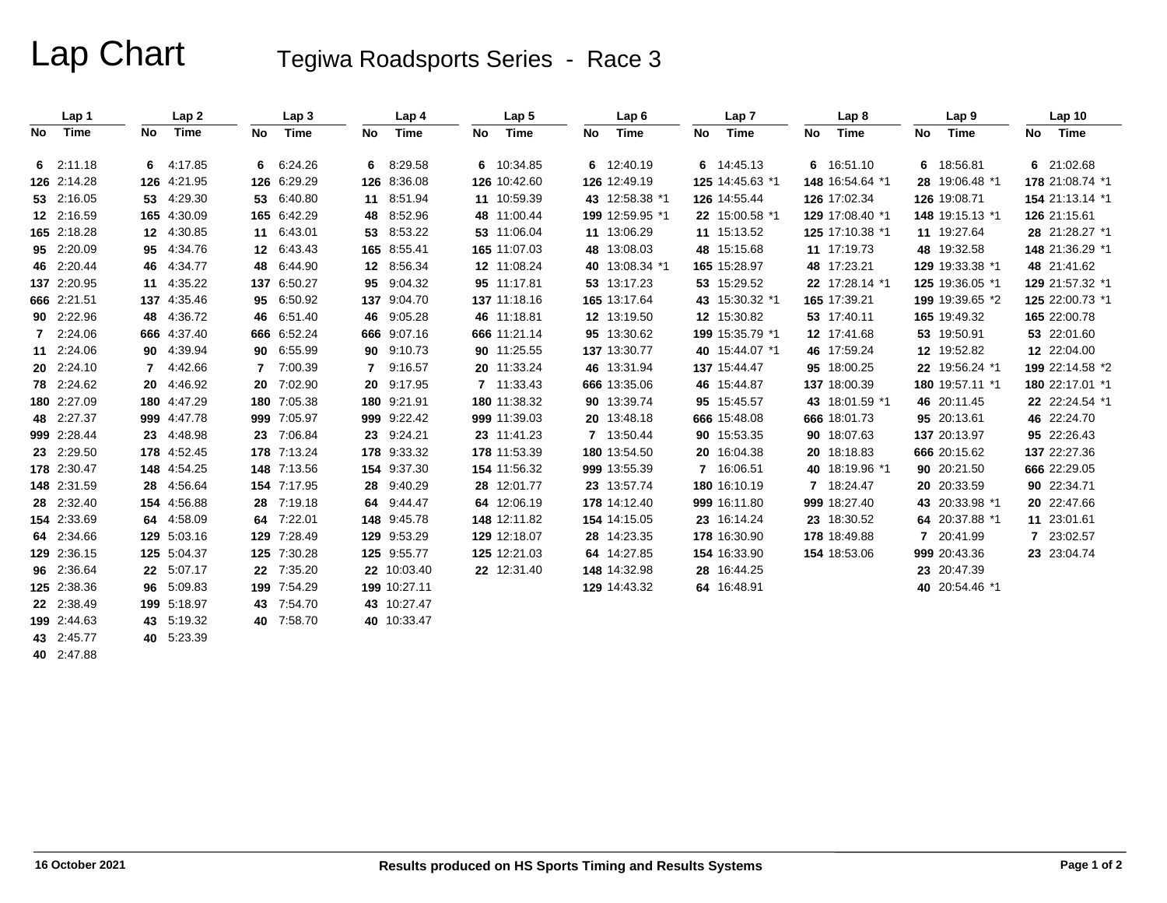# Lap Chart Tegiwa Roadsports Series - Race 3

|    | Lap 1       |    | Lap <sub>2</sub> |    | Lap <sub>3</sub> |         | Lap 4        |    | Lap <sub>5</sub> |    | Lap6            |    | Lap 7           |    | Lap <sub>8</sub> |    | Lap <sub>9</sub> |    | Lap <sub>10</sub> |
|----|-------------|----|------------------|----|------------------|---------|--------------|----|------------------|----|-----------------|----|-----------------|----|------------------|----|------------------|----|-------------------|
| No | Time        | No | Time             | No | Time             | No      | Time         | No | Time             | No | Time            | No | Time            | No | Time             | No | Time             | No | Time              |
|    | 62:11.18    |    | 64:17.85         | 6  | 6:24.26          | 6       | 8:29.58      |    | 6 10:34.85       |    | 6 12:40.19      |    | 6 14:45.13      |    | 6 16:51.10       | 6  | 18:56.81         |    | 6 21:02.68        |
|    | 126 2:14.28 |    | 126 4:21.95      |    | 126 6:29.29      |         | 126 8:36.08  |    | 126 10:42.60     |    | 126 12:49.19    |    | 125 14:45.63 *1 |    | 148 16:54.64 *1  |    | 28 19:06.48 *1   |    | 178 21:08.74 *1   |
|    | 53 2:16.05  |    | 53 4:29.30       | 53 | 6:40.80          | 11      | 8:51.94      |    | 11 10:59.39      |    | 43 12:58.38 *1  |    | 126 14:55.44    |    | 126 17:02.34     |    | 126 19:08.71     |    | 154 21:13.14 *1   |
|    | 12 2:16.59  |    | 165 4:30.09      |    | 165 6:42.29      | 48      | 8:52.96      |    | 48 11:00.44      |    | 199 12:59.95 *1 |    | 22 15:00.58 *1  |    | 129 17:08.40 *1  |    | 148 19:15.13 *1  |    | 126 21:15.61      |
|    | 165 2:18.28 |    | 12 4:30.85       |    | 11 6:43.01       | 53      | 8:53.22      |    | 53 11:06.04      |    | 11 13:06.29     |    | 11 15:13.52     |    | 125 17:10.38 *1  |    | 11 19:27.64      |    | 28 21:28.27 *1    |
|    | 95 2:20.09  |    | 95 4:34.76       |    | 12 6:43.43       |         | 165 8:55.41  |    | 165 11:07.03     |    | 48 13:08.03     |    | 48 15:15.68     |    | 11 17:19.73      |    | 48 19:32.58      |    | 148 21:36.29 *1   |
|    | 46 2:20.44  |    | 46 4:34.77       | 48 | 6:44.90          | $12 \,$ | 8:56.34      |    | 12 11:08.24      |    | 40 13:08.34 *1  |    | 165 15:28.97    |    | 48 17:23.21      |    | 129 19:33.38 *1  |    | 48 21:41.62       |
|    | 137 2:20.95 |    | 11 4:35.22       |    | 137 6:50.27      | 95      | 9:04.32      |    | 95 11:17.81      |    | 53 13:17.23     |    | 53 15:29.52     |    | 22 17:28.14 *1   |    | 125 19:36.05 *1  |    | 129 21:57.32 *1   |
|    | 666 2:21.51 |    | 137 4:35.46      | 95 | 6:50.92          | 137     | 9:04.70      |    | 137 11:18.16     |    | 165 13:17.64    |    | 43 15:30.32 *1  |    | 165 17:39.21     |    | 199 19:39.65 *2  |    | 125 22:00.73 *1   |
|    | 90 2:22.96  |    | 48 4:36.72       |    | 46 6:51.40       | 46      | 9:05.28      |    | 46 11:18.81      |    | 12 13:19.50     |    | 12 15:30.82     |    | 53 17:40.11      |    | 165 19:49.32     |    | 165 22:00.78      |
|    | 7 2:24.06   |    | 666 4:37.40      |    | 666 6:52.24      |         | 666 9:07.16  |    | 666 11:21.14     |    | 95 13:30.62     |    | 199 15:35.79 *1 |    | 12 17:41.68      |    | 53 19:50.91      |    | 53 22:01.60       |
|    | 11 2:24.06  |    | 90 4:39.94       |    | 90 6:55.99       | 90      | 9:10.73      |    | 90 11:25.55      |    | 137 13:30.77    |    | 40 15:44.07 *1  |    | 46 17:59.24      |    | 12 19:52.82      |    | 12 22:04.00       |
|    | 20 2:24.10  |    | 7 4:42.66        |    | 7:00.39          | 7       | 9:16.57      |    | 20 11:33.24      |    | 46 13:31.94     |    | 137 15:44.47    |    | 95 18:00.25      |    | 22 19:56.24 *1   |    | 199 22:14.58 *2   |
|    | 78 2:24.62  |    | 20 4:46.92       | 20 | 7:02.90          | 20      | 9:17.95      |    | 7 11:33.43       |    | 666 13:35.06    |    | 46 15:44.87     |    | 137 18:00.39     |    | 180 19:57.11 *1  |    | 180 22:17.01 *1   |
|    | 180 2:27.09 |    | 180 4:47.29      |    | 180 7:05.38      |         | 180 9:21.91  |    | 180 11:38.32     |    | 90 13:39.74     |    | 95 15:45.57     |    | 43 18:01.59 *1   |    | 46 20:11.45      |    | 22 22:24.54 *1    |
|    | 48 2:27.37  |    | 999 4:47.78      |    | 999 7:05.97      |         | 999 9:22.42  |    | 999 11:39.03     |    | 20 13:48.18     |    | 666 15:48.08    |    | 666 18:01.73     |    | 95 20:13.61      |    | 46 22:24.70       |
|    | 999 2:28.44 |    | 23 4:48.98       | 23 | 7:06.84          | 23      | 9:24.21      |    | 23 11:41.23      |    | 7 13:50.44      |    | 90 15:53.35     |    | 90 18:07.63      |    | 137 20:13.97     |    | 95 22:26.43       |
|    | 23 2:29.50  |    | 178 4:52.45      |    | 178 7:13.24      |         | 178 9:33.32  |    | 178 11:53.39     |    | 180 13:54.50    |    | 20 16:04.38     |    | 20 18:18.83      |    | 666 20:15.62     |    | 137 22:27.36      |
|    | 178 2:30.47 |    | 148 4:54.25      |    | 148 7:13.56      |         | 154 9:37.30  |    | 154 11:56.32     |    | 999 13:55.39    |    | 7 16:06.51      |    | 40 18:19.96 *1   |    | 90 20:21.50      |    | 666 22:29.05      |
|    | 148 2:31.59 |    | 28 4:56.64       |    | 154 7:17.95      | 28      | 9:40.29      |    | 28 12:01.77      |    | 23 13:57.74     |    | 180 16:10.19    |    | 7 18:24.47       |    | 20 20:33.59      |    | 90 22:34.71       |
|    | 28 2:32.40  |    | 154 4:56.88      |    | 28 7:19.18       | 64      | 9:44.47      |    | 64 12:06.19      |    | 178 14:12.40    |    | 999 16:11.80    |    | 999 18:27.40     |    | 43 20:33.98 *1   |    | 20 22:47.66       |
|    | 154 2:33.69 |    | 64 4:58.09       |    | 64 7:22.01       |         | 148 9:45.78  |    | 148 12:11.82     |    | 154 14:15.05    |    | 23 16:14.24     |    | 23 18:30.52      |    | 64 20:37.88 *1   |    | 11 23:01.61       |
|    | 64 2:34.66  |    | 129 5:03.16      |    | 129 7:28.49      |         | 129 9:53.29  |    | 129 12:18.07     |    | 28 14:23.35     |    | 178 16:30.90    |    | 178 18:49.88     | 7  | 20:41.99         |    | 7 23:02.57        |
|    | 129 2:36.15 |    | 125 5:04.37      |    | 125 7:30.28      |         | 125 9:55.77  |    | 125 12:21.03     |    | 64 14:27.85     |    | 154 16:33.90    |    | 154 18:53.06     |    | 999 20:43.36     |    | 23 23:04.74       |
|    | 96 2:36.64  |    | 22 5:07.17       |    | 22 7:35.20       |         | 22 10:03.40  |    | 22 12:31.40      |    | 148 14:32.98    |    | 28 16:44.25     |    |                  |    | 23 20:47.39      |    |                   |
|    | 125 2:38.36 |    | 96 5:09.83       |    | 199 7:54.29      |         | 199 10:27.11 |    |                  |    | 129 14:43.32    |    | 64 16:48.91     |    |                  |    | 40 20:54.46 *1   |    |                   |
|    | 22 2:38.49  |    | 199 5:18.97      |    | 43 7:54.70       |         | 43 10:27.47  |    |                  |    |                 |    |                 |    |                  |    |                  |    |                   |
|    | 199 2:44.63 |    | 43 5:19.32       |    | 40 7:58.70       |         | 40 10:33.47  |    |                  |    |                 |    |                 |    |                  |    |                  |    |                   |
|    | 43 2:45.77  |    | 40 5:23.39       |    |                  |         |              |    |                  |    |                 |    |                 |    |                  |    |                  |    |                   |

**43**

**40** 2:47.88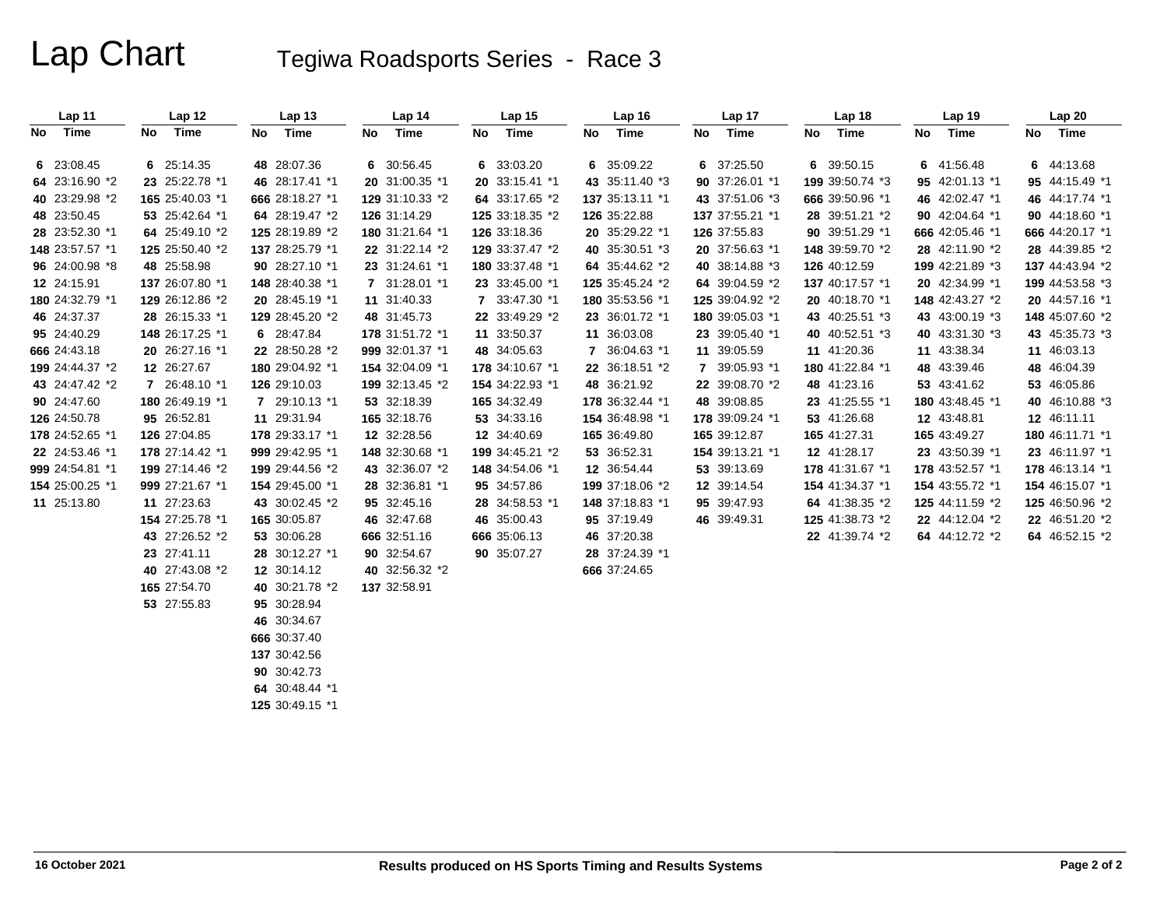# Lap Chart Tegiwa Roadsports Series - Race 3

| Lap 11          | Lap 12          | Lap <sub>13</sub> | Lap 14          | Lap 15          | Lap 16          | Lap 17          | Lap <sub>18</sub> | Lap 19          | Lap 20          |
|-----------------|-----------------|-------------------|-----------------|-----------------|-----------------|-----------------|-------------------|-----------------|-----------------|
| No Time         | No Time         | No Time           | No Time         | No Time         | No Time         | No Time         | No Time           | No Time         | No Time         |
|                 |                 |                   |                 |                 |                 |                 |                   |                 |                 |
| 6 23:08.45      | 6 25:14.35      | 48 28:07.36       | 6 30:56.45      | 6 33:03.20      | 6 35:09.22      | 6 37:25.50      | 6 39:50.15        | 6 41:56.48      | 6 44:13.68      |
| 64 23:16.90 *2  | 23 25:22.78 *1  | 46 28:17.41 *1    | 20 31:00.35 *1  | 20 33:15.41 *1  | 43 35:11.40 *3  | 90 37:26.01 *1  | 199 39:50.74 *3   | 95 42:01.13 *1  | 95 44:15.49 *1  |
| 40 23:29.98 *2  | 165 25:40.03 *1 | 666 28:18.27 *1   | 129 31:10.33 *2 | 64 33:17.65 *2  | 137 35:13.11 *1 | 43 37:51.06 *3  | 666 39:50.96 *1   | 46 42:02.47 *1  | 46 44:17.74 *1  |
| 48 23:50.45     | 53 25:42.64 *1  | 64 28:19.47 *2    | 126 31:14.29    | 125 33:18.35 *2 | 126 35:22.88    | 137 37:55.21 *1 | 28 39:51.21 *2    | 90 42:04.64 *1  | 90 44:18.60 *1  |
| 28 23:52.30 *1  | 64 25:49.10 *2  | 125 28:19.89 *2   | 180 31:21.64 *1 | 126 33:18.36    | 20 35:29.22 *1  | 126 37:55.83    | 90 39:51.29 *1    | 666 42:05.46 *1 | 666 44:20.17 *1 |
| 148 23:57.57 *1 | 125 25:50.40 *2 | 137 28:25.79 *1   | 22 31:22.14 *2  | 129 33:37.47 *2 | 40 35:30.51 *3  | 20 37:56.63 *1  | 148 39:59.70 *2   | 28 42:11.90 *2  | 28 44:39.85 *2  |
| 96 24:00.98 *8  | 48 25:58.98     | 90 28:27.10 *1    | 23 31:24.61 *1  | 180 33:37.48 *1 | 64 35:44.62 *2  | 40 38:14.88 *3  | 126 40:12.59      | 199 42:21.89 *3 | 137 44:43.94 *2 |
| 12 24:15.91     | 137 26:07.80 *1 | 148 28:40.38 *1   | 7 31:28.01 *1   | 23 33:45.00 *1  | 125 35:45.24 *2 | 64 39:04.59 *2  | 137 40:17.57 *1   | 20 42:34.99 *1  | 199 44:53.58 *3 |
| 180 24:32.79 *1 | 129 26:12.86 *2 | 20 28:45.19 *1    | 11 31:40.33     | 7 33:47.30 *1   | 180 35:53.56 *1 | 125 39:04.92 *2 | 20 40:18.70 *1    | 148 42:43.27 *2 | 20 44:57.16 *1  |
| 46 24:37.37     | 28 26:15.33 *1  | 129 28:45.20 *2   | 48 31:45.73     | 22 33:49.29 *2  | 23 36:01.72 *1  | 180 39:05.03 *1 | 43 40:25.51 *3    | 43 43:00.19 *3  | 148 45:07.60 *2 |
| 95 24:40.29     | 148 26:17.25 *1 | 6 28:47.84        | 178 31:51.72 *1 | 11 33:50.37     | 11 36:03.08     | 23 39:05.40 *1  | 40 40:52.51 *3    | 40 43:31.30 *3  | 43 45:35.73 *3  |
| 666 24:43.18    | 20 26:27.16 *1  | 22 28:50.28 *2    | 999 32:01.37 *1 | 48 34:05.63     | 7 36:04.63 *1   | 11 39:05.59     | 11 41:20.36       | 11 43:38.34     | 11 46:03.13     |
| 199 24:44.37 *2 | 12 26:27.67     | 180 29:04.92 *1   | 154 32:04.09 *1 | 178 34:10.67 *1 | 22 36:18.51 *2  | 7 39:05.93 *1   | 180 41:22.84 *1   | 48 43:39.46     | 48 46:04.39     |
| 43 24:47.42 *2  | 7 26:48.10 *1   | 126 29:10.03      | 199 32:13.45 *2 | 154 34:22.93 *1 | 48 36:21.92     | 22 39:08.70 *2  | 48 41:23.16       | 53 43:41.62     | 53 46:05.86     |
| 90 24:47.60     | 180 26:49.19 *1 | 7 29:10.13 *1     | 53 32:18.39     | 165 34:32.49    | 178 36:32.44 *1 | 48 39:08.85     | 23 41:25.55 *1    | 180 43:48.45 *1 | 40 46:10.88 *3  |
| 126 24:50.78    | 95 26:52.81     | 11 29:31.94       | 165 32:18.76    | 53 34:33.16     | 154 36:48.98 *1 | 178 39:09.24 *1 | 53 41:26.68       | 12 43:48.81     | 12 46:11.11     |
| 178 24:52.65 *1 | 126 27:04.85    | 178 29:33.17 *1   | 12 32:28.56     | 12 34:40.69     | 165 36:49.80    | 165 39:12.87    | 165 41:27.31      | 165 43:49.27    | 180 46:11.71 *1 |
| 22 24:53.46 *1  | 178 27:14.42 *1 | 999 29:42.95 *1   | 148 32:30.68 *1 | 199 34:45.21 *2 | 53 36:52.31     | 154 39:13.21 *1 | 12 41:28.17       | 23 43:50.39 *1  | 23 46:11.97 *1  |
| 999 24:54.81 *1 | 199 27:14.46 *2 | 199 29:44.56 *2   | 43 32:36.07 *2  | 148 34:54.06 *1 | 12 36:54.44     | 53 39:13.69     | 178 41:31.67 *1   | 178 43:52.57 *1 | 178 46:13.14 *1 |
| 154 25:00.25 *1 | 999 27:21.67 *1 | 154 29:45.00 *1   | 28 32:36.81 *1  | 95 34:57.86     | 199 37:18.06 *2 | 12 39:14.54     | 154 41:34.37 *1   | 154 43:55.72 *1 | 154 46:15.07 *1 |
| 11 25:13.80     | 11 27:23.63     | 43 30:02.45 *2    | 95 32:45.16     | 28 34:58.53 *1  | 148 37:18.83 *1 | 95 39:47.93     | 64 41:38.35 *2    | 125 44:11.59 *2 | 125 46:50.96 *2 |
|                 | 154 27:25.78 *1 | 165 30:05.87      | 46 32:47.68     | 46 35:00.43     | 95 37:19.49     | 46 39:49.31     | 125 41:38.73 *2   | 22 44:12.04 *2  | 22 46:51.20 *2  |
|                 | 43 27:26.52 *2  | 53 30:06.28       | 666 32:51.16    | 666 35:06.13    | 46 37:20.38     |                 | 22 41:39.74 *2    | 64 44:12.72 *2  | 64 46:52.15 *2  |
|                 | 23 27:41.11     | 28 30:12.27 *1    | 90 32:54.67     | 90 35:07.27     | 28 37:24.39 *1  |                 |                   |                 |                 |
|                 | 40 27:43.08 *2  | 12 30:14.12       | 40 32:56.32 *2  |                 | 666 37:24.65    |                 |                   |                 |                 |
|                 | 165 27:54.70    | 40 30:21.78 *2    | 137 32:58.91    |                 |                 |                 |                   |                 |                 |
|                 | 53 27:55.83     | 95 30:28.94       |                 |                 |                 |                 |                   |                 |                 |
|                 |                 | 46 30:34.67       |                 |                 |                 |                 |                   |                 |                 |
|                 |                 | 666 30:37.40      |                 |                 |                 |                 |                   |                 |                 |
|                 |                 | 137 30:42.56      |                 |                 |                 |                 |                   |                 |                 |
|                 |                 | 90 30:42.73       |                 |                 |                 |                 |                   |                 |                 |
|                 |                 | 64 30:48.44 *1    |                 |                 |                 |                 |                   |                 |                 |
|                 |                 | 125 30:49.15 *1   |                 |                 |                 |                 |                   |                 |                 |
|                 |                 |                   |                 |                 |                 |                 |                   |                 |                 |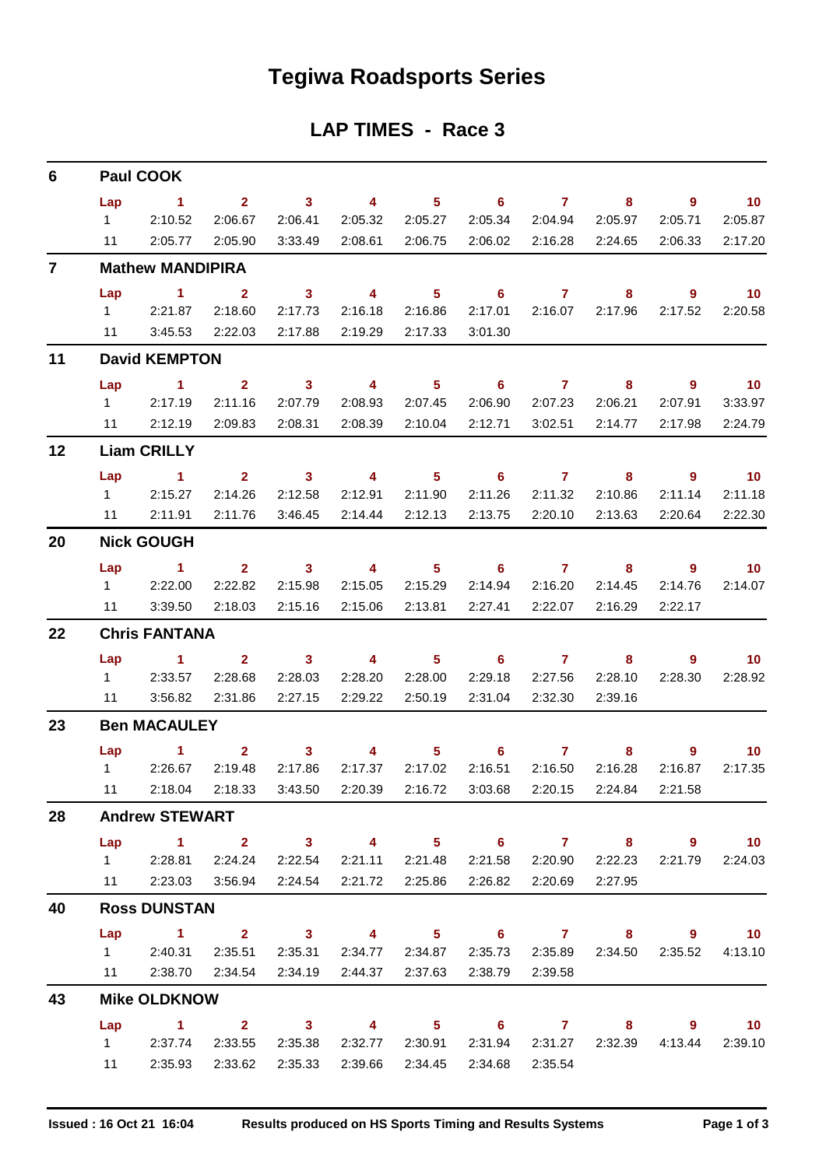## **Tegiwa Roadsports Series**

## **LAP TIMES - Race 3**

| 6              | <b>Paul COOK</b>                |                                                                                                                                 |                                      |                                               |                                               |                                       |                                                             |                                                                                                                                                                                                                                                                                                                                                          |                                         |                           |                                       |  |  |  |
|----------------|---------------------------------|---------------------------------------------------------------------------------------------------------------------------------|--------------------------------------|-----------------------------------------------|-----------------------------------------------|---------------------------------------|-------------------------------------------------------------|----------------------------------------------------------------------------------------------------------------------------------------------------------------------------------------------------------------------------------------------------------------------------------------------------------------------------------------------------------|-----------------------------------------|---------------------------|---------------------------------------|--|--|--|
|                | Lap<br>$1 \quad \Box$<br>$11 -$ | $\sim$ 1<br>2:10.52<br>2:05.77                                                                                                  | 2:06.67<br>2:05.90                   | $2 \t 3$<br>2:06.41<br>3:33.49                | $\overline{\mathbf{A}}$<br>2:05.32<br>2:08.61 | 2:05.27<br>2:06.75                    | $5 \t\t 6 \t\t 7$<br>2:05.34                                | 2:04.94<br>2:06.02 2:16.28                                                                                                                                                                                                                                                                                                                               | 8<br>2:05.97<br>2:24.65                 | - 9<br>2:05.71<br>2:06.33 | $\sim$ 10<br>2:05.87<br>2:17.20       |  |  |  |
| $\overline{7}$ |                                 | <b>Mathew MANDIPIRA</b>                                                                                                         |                                      |                                               |                                               |                                       |                                                             |                                                                                                                                                                                                                                                                                                                                                          |                                         |                           |                                       |  |  |  |
|                | Lap<br>11                       | $\sim$ 1<br>1 2:21.87<br>3:45.53                                                                                                | $\mathbf{2}$<br>2:18.60<br>2:22.03   | $\overline{\mathbf{3}}$<br>2:17.73<br>2:17.88 | $\overline{\mathbf{4}}$<br>2:16.18<br>2:19.29 | 5 <sub>1</sub><br>2:16.86<br>2:17.33  | $\overline{\phantom{a}}$ 6<br>2:17.01<br>3:01.30            | $\overline{7}$ and $\overline{7}$ and $\overline{7}$ and $\overline{7}$ and $\overline{7}$ and $\overline{7}$ and $\overline{7}$ and $\overline{7}$ and $\overline{7}$ and $\overline{7}$ and $\overline{7}$ and $\overline{7}$ and $\overline{7}$ and $\overline{7}$ and $\overline{7}$ and $\overline{7}$ and $\overline{7}$ and                       | 8<br>2:16.07 2:17.96                    | $\overline{9}$<br>2:17.52 | $\overline{\mathbf{10}}$<br>2:20.58   |  |  |  |
| 11             |                                 | <b>David KEMPTON</b>                                                                                                            |                                      |                                               |                                               |                                       |                                                             |                                                                                                                                                                                                                                                                                                                                                          |                                         |                           |                                       |  |  |  |
|                | Lap                             | $\sim$ 1 $\sim$ 1                                                                                                               | $\mathbf{2}$                         | $\overline{\mathbf{3}}$                       |                                               |                                       | 4 5 6 7                                                     |                                                                                                                                                                                                                                                                                                                                                          | 8                                       | - 9                       | $\overline{\mathbf{10}}$              |  |  |  |
|                | $1 \quad \Box$                  | 2:17.19<br>11 2:12.19                                                                                                           | 2:11.16<br>2:09.83                   | 2:07.79<br>2:08.31                            | 2:08.93<br>2:08.39                            | 2:07.45<br>2:10.04                    | 2:06.90<br>2:12.71                                          | 2:07.23<br>3:02.51                                                                                                                                                                                                                                                                                                                                       | 2:06.21<br>2:14.77                      | 2:07.91<br>2:17.98        | 3:33.97<br>2:24.79                    |  |  |  |
| 12             |                                 | <b>Liam CRILLY</b>                                                                                                              |                                      |                                               |                                               |                                       |                                                             |                                                                                                                                                                                                                                                                                                                                                          |                                         |                           |                                       |  |  |  |
|                | Lap<br>11                       | $\sim$ 1.<br>12:15.27<br>2:11.91                                                                                                | $\overline{2}$<br>2:14.26<br>2:11.76 | $\sim$ 3<br>2:12.58<br>3:46.45                | $\overline{\mathbf{4}}$<br>2:12.91<br>2:14.44 | $\sim$ 5 $\sim$<br>2:11.90<br>2:12.13 | $\overline{\phantom{0}}$ 6<br>2:11.26<br>2:13.75            | $\overline{7}$ and $\overline{7}$ and $\overline{7}$ and $\overline{7}$ and $\overline{7}$ and $\overline{7}$ and $\overline{7}$ and $\overline{7}$ and $\overline{7}$ and $\overline{7}$ and $\overline{7}$ and $\overline{7}$ and $\overline{7}$ and $\overline{7}$ and $\overline{7}$ and $\overline{7}$ and $\overline{7}$ and<br>2:11.32<br>2:20.10 | 8<br>2:10.86<br>2:13.63                 | - 9<br>2:11.14<br>2:20.64 | $\overline{10}$<br>2:11.18<br>2:22.30 |  |  |  |
| 20             |                                 | <b>Nick GOUGH</b>                                                                                                               |                                      |                                               |                                               |                                       |                                                             |                                                                                                                                                                                                                                                                                                                                                          |                                         |                           |                                       |  |  |  |
|                | 11                              | Lap 1<br>1 2:22.00<br>3:39.50                                                                                                   | 2:22.82<br>2:18.03                   | 2:15.98<br>2:15.16                            | 2:15.05<br>2:15.06                            | 2:15.29<br>2:13.81                    | $2 \qquad 3 \qquad 4 \qquad 5 \qquad 6 \qquad 7$<br>2:14.94 | 2:16.20<br>2:27.41 2:22.07                                                                                                                                                                                                                                                                                                                               | 8<br>2:14.45<br>2:16.29                 | - 9<br>2:14.76<br>2:22.17 | $\overline{10}$<br>2:14.07            |  |  |  |
| 22             |                                 | <b>Chris FANTANA</b>                                                                                                            |                                      |                                               |                                               |                                       |                                                             |                                                                                                                                                                                                                                                                                                                                                          |                                         |                           |                                       |  |  |  |
|                | Lap<br>11                       | $\sim$ $\sim$ 1.<br>1 2:33.57<br>3:56.82                                                                                        | $2^{\circ}$<br>2:28.68<br>2:31.86    | $\sim$ 3<br>2:28.03<br>2:27.15                | $\overline{\mathbf{4}}$<br>2:28.20<br>2:29.22 | $\sim$ $\sim$ 5<br>2:28.00<br>2:50.19 | $\overline{\phantom{a}}$ 6<br>2:29.18<br>2:31.04            | $\overline{7}$<br>2:27.56<br>2:32.30                                                                                                                                                                                                                                                                                                                     | 8 <sup>8</sup><br>2:28.10<br>2:39.16    | - 9<br>2:28.30            | $\overline{10}$<br>2:28.92            |  |  |  |
| 23             | <b>Ben MACAULEY</b>             |                                                                                                                                 |                                      |                                               |                                               |                                       |                                                             |                                                                                                                                                                                                                                                                                                                                                          |                                         |                           |                                       |  |  |  |
|                | $11 -$                          | $Lap$ 1<br>1 2:26.67<br>2:18.04                                                                                                 | $\mathbf{2}$<br>2:19.48<br>2:18.33   | 3 <sup>1</sup><br>2:17.86<br>3:43.50          | 4<br>2:17.37<br>2:20.39                       | 5 <sub>1</sub><br>2:17.02<br>2:16.72  | $\overline{\phantom{a}}$ 6<br>2:16.51                       | $\overline{7}$<br>2:16.50<br>3:03.68 2:20.15                                                                                                                                                                                                                                                                                                             | 8<br>2:16.28<br>2:24.84                 | 9<br>2:16.87<br>2:21.58   | $\overline{\mathbf{10}}$<br>2:17.35   |  |  |  |
| 28             |                                 | <b>Andrew STEWART</b>                                                                                                           |                                      |                                               |                                               |                                       |                                                             |                                                                                                                                                                                                                                                                                                                                                          |                                         |                           |                                       |  |  |  |
|                |                                 | Lap 1 2 3 4 5 6 7 8 9 10<br>1 2:28.81<br>11 2:23.03 3:56.94 2:24.54 2:21.72 2:25.86                                             | 2:24.24                              | 2:22.54                                       |                                               | 2:21.11 2:21.48                       |                                                             | 2:26.82 2:20.69                                                                                                                                                                                                                                                                                                                                          | 2:21.58 2:20.90 2:22.23<br>2:27.95      |                           | 2:21.79 2:24.03                       |  |  |  |
| 40             |                                 | <b>Ross DUNSTAN</b>                                                                                                             |                                      |                                               |                                               |                                       |                                                             |                                                                                                                                                                                                                                                                                                                                                          |                                         |                           |                                       |  |  |  |
|                | Lap                             | 1 2 3 4 5 6 7 8 9 10<br>1 2:40.31 2:35.51 2:35.31 2:34.77 2:34.87 2:35.73 2:35.89 2:34.50 2:35.52 4:13.10<br>11 2:38.70 2:34.54 |                                      | 2:34.19                                       | 2:44.37 2:37.63                               |                                       | 2:38.79                                                     | 2:39.58                                                                                                                                                                                                                                                                                                                                                  |                                         |                           |                                       |  |  |  |
| 43             |                                 | <b>Mike OLDKNOW</b>                                                                                                             |                                      |                                               |                                               |                                       |                                                             |                                                                                                                                                                                                                                                                                                                                                          |                                         |                           |                                       |  |  |  |
|                | 11                              | Lap 1 2 3 4 5 6 7 8 9 10<br>12:37.74<br>2:35.93                                                                                 | 2:33.55<br>2:33.62                   | 2:35.38<br>2:35.33                            | 2:39.66                                       | 2:32.77 2:30.91<br>2:34.45            |                                                             | 2:34.68 2:35.54                                                                                                                                                                                                                                                                                                                                          | 2:31.94 2:31.27 2:32.39 4:13.44 2:39.10 |                           |                                       |  |  |  |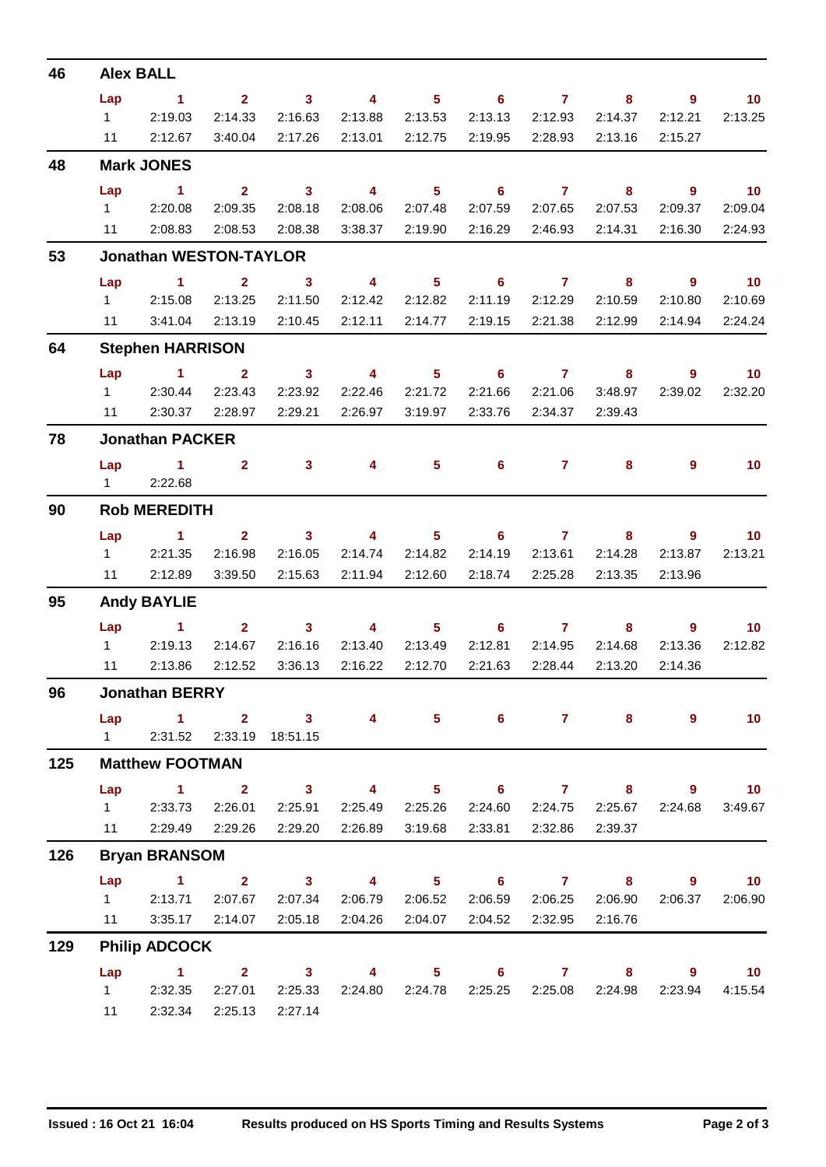| 46  | <b>Alex BALL</b>                                                          |                                  |                         |                         |                         |                            |                                   |                 |              |                        |                              |  |
|-----|---------------------------------------------------------------------------|----------------------------------|-------------------------|-------------------------|-------------------------|----------------------------|-----------------------------------|-----------------|--------------|------------------------|------------------------------|--|
|     | Lap                                                                       | $\sim$ $\sim$ 1                  | $\overline{\mathbf{2}}$ | $\sim$ 3                | $\overline{\mathbf{4}}$ | 5 <sub>1</sub>             | $\overline{6}$ and $\overline{7}$ |                 | 8            | $\overline{9}$         | 10                           |  |
|     | $1 \quad \Box$                                                            | 2:19.03                          | 2:14.33                 | 2:16.63                 | 2:13.88                 | 2:13.53                    | 2:13.13                           | 2:12.93         | 2:14.37      | 2:12.21                | 2:13.25                      |  |
|     | 11                                                                        | 2:12.67                          | 3:40.04                 | 2:17.26                 | 2:13.01                 | 2:12.75                    | 2:19.95                           | 2:28.93         | 2:13.16      | 2:15.27                |                              |  |
| 48  | <b>Mark JONES</b>                                                         |                                  |                         |                         |                         |                            |                                   |                 |              |                        |                              |  |
|     | Lap                                                                       | $\sim$ 1                         | 2 <sup>1</sup>          | $\overline{\mathbf{3}}$ | $\overline{\mathbf{4}}$ | 5 <sub>5</sub>             | $6^{\circ}$                       | $\overline{7}$  | 8            | $9^{\circ}$            | $\overline{10}$              |  |
|     |                                                                           | 1 2:20.08                        | 2:09.35                 | 2:08.18                 | 2:08.06                 | 2:07.48                    | 2:07.59                           | 2:07.65         | 2:07.53      | 2:09.37                | 2:09.04                      |  |
|     |                                                                           | 11 2:08.83                       | 2:08.53                 | 2:08.38                 | 3:38.37                 | 2:19.90                    | 2:16.29                           | 2:46.93         | 2:14.31      | 2:16.30                | 2:24.93                      |  |
| 53  | <b>Jonathan WESTON-TAYLOR</b>                                             |                                  |                         |                         |                         |                            |                                   |                 |              |                        |                              |  |
|     | Lap                                                                       | $\sim$ $\sim$ 1                  |                         | $2 \qquad \qquad 3$     | $\overline{\mathbf{4}}$ | 5 <sub>5</sub>             | $\overline{6}$ and $\overline{7}$ |                 | 8            | - 9                    | $\blacksquare$ 10            |  |
|     | $1 \quad \Box$                                                            | 2:15.08                          | 2:13.25                 | 2:11.50                 | 2:12.42                 | 2:12.82                    | 2:11.19                           | 2:12.29         | 2:10.59      | 2:10.80                | 2:10.69                      |  |
|     | 11                                                                        | 3:41.04                          | 2:13.19                 | 2:10.45                 | 2:12.11                 | 2:14.77                    | 2:19.15                           | 2:21.38         | 2:12.99      | 2:14.94                | 2:24.24                      |  |
| 64  | <b>Stephen HARRISON</b>                                                   |                                  |                         |                         |                         |                            |                                   |                 |              |                        |                              |  |
|     | Lap                                                                       | $\sim$ 1                         | $\mathbf{2}$            | 3 <sup>7</sup>          | $\overline{4}$          | 5 <sup>1</sup>             | 6                                 | $\overline{7}$  | 8            | $9^{\circ}$            | 10                           |  |
|     |                                                                           | 1 2:30.44                        | 2:23.43                 | 2:23.92                 | 2:22.46                 | 2:21.72                    | 2:21.66                           | 2:21.06         | 3:48.97      | 2:39.02                | 2:32.20                      |  |
|     |                                                                           | 11 2:30.37                       | 2:28.97                 | 2:29.21                 | 2:26.97                 | 3:19.97                    | 2:33.76                           | 2:34.37         | 2:39.43      |                        |                              |  |
| 78  | <b>Jonathan PACKER</b>                                                    |                                  |                         |                         |                         |                            |                                   |                 |              |                        |                              |  |
|     |                                                                           | Lap 1 2 3 4                      |                         |                         |                         |                            | $5 \t\t 6 \t\t 7$                 |                 | 8            | 9                      | 10                           |  |
|     |                                                                           | 1 2:22.68                        |                         |                         |                         |                            |                                   |                 |              |                        |                              |  |
| 90  | <b>Rob MEREDITH</b>                                                       |                                  |                         |                         |                         |                            |                                   |                 |              |                        |                              |  |
|     | Lap                                                                       | <b>Contract Manager</b>          | 2 <sup>1</sup>          | $\overline{\mathbf{3}}$ | $\sim$ 4                | 5 <sub>5</sub>             | $6 \qquad \qquad 7$               |                 | 8            | 9                      | 10                           |  |
|     | $1 \quad$                                                                 | 2:21.35                          | 2:16.98                 | 2:16.05                 | 2:14.74                 | 2:14.82                    | 2:14.19                           | 2:13.61         | 2:14.28      | 2:13.87                | 2:13.21                      |  |
|     |                                                                           | 11 2:12.89                       | 3:39.50                 | 2:15.63                 | 2:11.94                 | 2:12.60                    | 2:18.74                           | 2:25.28         | 2:13.35      | 2:13.96                |                              |  |
| 95  | <b>Andy BAYLIE</b>                                                        |                                  |                         |                         |                         |                            |                                   |                 |              |                        |                              |  |
|     |                                                                           | $Lap$ 1                          |                         | $2 \t 3$                | $\overline{4}$          | $\overline{\phantom{1}}$ 5 | $\overline{\phantom{a}}$ 6        | $\overline{7}$  | 8            | $9^{\circ}$            | 10                           |  |
|     | $1 \quad \Box$                                                            | 2:19.13                          | 2:14.67                 | 2:16.16                 | 2:13.40                 | 2:13.49                    | 2:12.81                           | 2:14.95         | 2:14.68      | 2:13.36                | 2:12.82                      |  |
|     | 11                                                                        | 2:13.86                          | 2:12.52                 | 3:36.13                 | 2:16.22                 | 2:12.70                    | 2:21.63                           | 2:28.44         | 2:13.20      | 2:14.36                |                              |  |
| 96  | <b>Jonathan BERRY</b>                                                     |                                  |                         |                         |                         |                            |                                   |                 |              |                        |                              |  |
|     |                                                                           | Lap 1 2 3 4 5 6 7 8              |                         |                         |                         |                            |                                   |                 |              | 9                      | 10                           |  |
| 125 | 1 2:31.52 2:33.19 18:51.15                                                |                                  |                         |                         |                         |                            |                                   |                 |              |                        |                              |  |
|     | <b>Matthew FOOTMAN</b><br>Lap 1 2 3 4<br>$5 \t 6 \t 7$                    |                                  |                         |                         |                         |                            |                                   |                 |              |                        |                              |  |
|     |                                                                           | 1 2:33.73                        | 2:26.01                 | 2:25.91                 | 2:25.49                 | 2:25.26                    |                                   | 2:24.60 2:24.75 | 8<br>2:25.67 | $9^{\circ}$<br>2:24.68 | $\blacksquare$ 10<br>3:49.67 |  |
|     |                                                                           | 11 2:29.49 2:29.26 2:29.20       |                         |                         | 2:26.89                 | 3:19.68                    |                                   | 2:33.81 2:32.86 | 2:39.37      |                        |                              |  |
| 126 | <b>Bryan BRANSOM</b>                                                      |                                  |                         |                         |                         |                            |                                   |                 |              |                        |                              |  |
|     | Lap<br>1.500<br>$2 \qquad 3 \qquad 4 \qquad 5 \qquad 6 \qquad 7 \qquad 8$ |                                  |                         |                         |                         |                            |                                   |                 |              |                        | $9 \t 10$                    |  |
|     | $1 \quad \Box$                                                            | 2:13.71                          | 2:07.67                 | 2:07.34                 | 2:06.79                 | 2:06.52                    |                                   | 2:06.59 2:06.25 | 2:06.90      | 2:06.37                | 2:06.90                      |  |
|     |                                                                           | 11 3:35.17 2:14.07               |                         | 2:05.18                 |                         | 2:04.26 2:04.07            |                                   | 2:04.52 2:32.95 | 2:16.76      |                        |                              |  |
| 129 | <b>Philip ADCOCK</b>                                                      |                                  |                         |                         |                         |                            |                                   |                 |              |                        |                              |  |
|     | Lap                                                                       | $\sim$ 1.000 $\sim$ 1.000 $\sim$ |                         | 2 3 4 5 6 7 8           |                         |                            |                                   |                 |              |                        | $9 \t 10$                    |  |
|     |                                                                           | 1 2:32.35                        | 2:27.01                 | 2:25.33                 |                         | 2:24.80 2:24.78            |                                   | 2:25.25 2:25.08 | 2:24.98      | 2:23.94                | 4:15.54                      |  |
|     |                                                                           | 11 2:32.34 2:25.13 2:27.14       |                         |                         |                         |                            |                                   |                 |              |                        |                              |  |